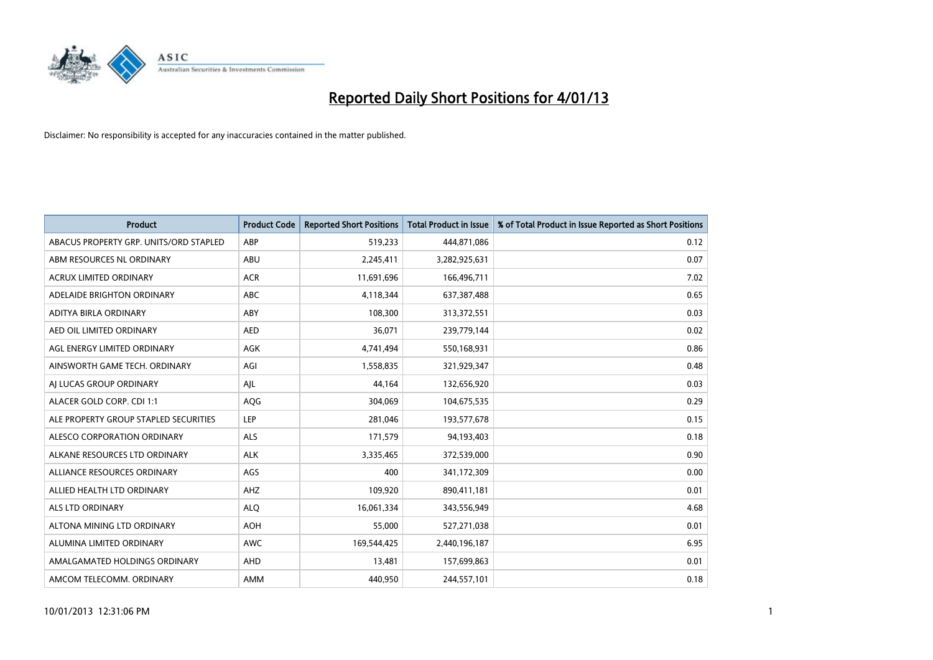

| <b>Product</b>                         | <b>Product Code</b> | <b>Reported Short Positions</b> | <b>Total Product in Issue</b> | % of Total Product in Issue Reported as Short Positions |
|----------------------------------------|---------------------|---------------------------------|-------------------------------|---------------------------------------------------------|
| ABACUS PROPERTY GRP. UNITS/ORD STAPLED | ABP                 | 519,233                         | 444,871,086                   | 0.12                                                    |
| ABM RESOURCES NL ORDINARY              | ABU                 | 2,245,411                       | 3,282,925,631                 | 0.07                                                    |
| <b>ACRUX LIMITED ORDINARY</b>          | <b>ACR</b>          | 11,691,696                      | 166,496,711                   | 7.02                                                    |
| ADELAIDE BRIGHTON ORDINARY             | <b>ABC</b>          | 4,118,344                       | 637,387,488                   | 0.65                                                    |
| <b>ADITYA BIRLA ORDINARY</b>           | ABY                 | 108,300                         | 313,372,551                   | 0.03                                                    |
| AED OIL LIMITED ORDINARY               | <b>AED</b>          | 36,071                          | 239,779,144                   | 0.02                                                    |
| AGL ENERGY LIMITED ORDINARY            | AGK                 | 4,741,494                       | 550,168,931                   | 0.86                                                    |
| AINSWORTH GAME TECH. ORDINARY          | AGI                 | 1,558,835                       | 321,929,347                   | 0.48                                                    |
| AI LUCAS GROUP ORDINARY                | AJL                 | 44,164                          | 132,656,920                   | 0.03                                                    |
| ALACER GOLD CORP. CDI 1:1              | AQG                 | 304,069                         | 104,675,535                   | 0.29                                                    |
| ALE PROPERTY GROUP STAPLED SECURITIES  | <b>LEP</b>          | 281,046                         | 193,577,678                   | 0.15                                                    |
| <b>ALESCO CORPORATION ORDINARY</b>     | <b>ALS</b>          | 171,579                         | 94,193,403                    | 0.18                                                    |
| ALKANE RESOURCES LTD ORDINARY          | <b>ALK</b>          | 3,335,465                       | 372,539,000                   | 0.90                                                    |
| ALLIANCE RESOURCES ORDINARY            | AGS                 | 400                             | 341,172,309                   | 0.00                                                    |
| ALLIED HEALTH LTD ORDINARY             | AHZ                 | 109,920                         | 890,411,181                   | 0.01                                                    |
| ALS LTD ORDINARY                       | <b>ALO</b>          | 16,061,334                      | 343,556,949                   | 4.68                                                    |
| ALTONA MINING LTD ORDINARY             | <b>AOH</b>          | 55,000                          | 527,271,038                   | 0.01                                                    |
| ALUMINA LIMITED ORDINARY               | <b>AWC</b>          | 169,544,425                     | 2,440,196,187                 | 6.95                                                    |
| AMALGAMATED HOLDINGS ORDINARY          | AHD                 | 13,481                          | 157,699,863                   | 0.01                                                    |
| AMCOM TELECOMM. ORDINARY               | <b>AMM</b>          | 440,950                         | 244,557,101                   | 0.18                                                    |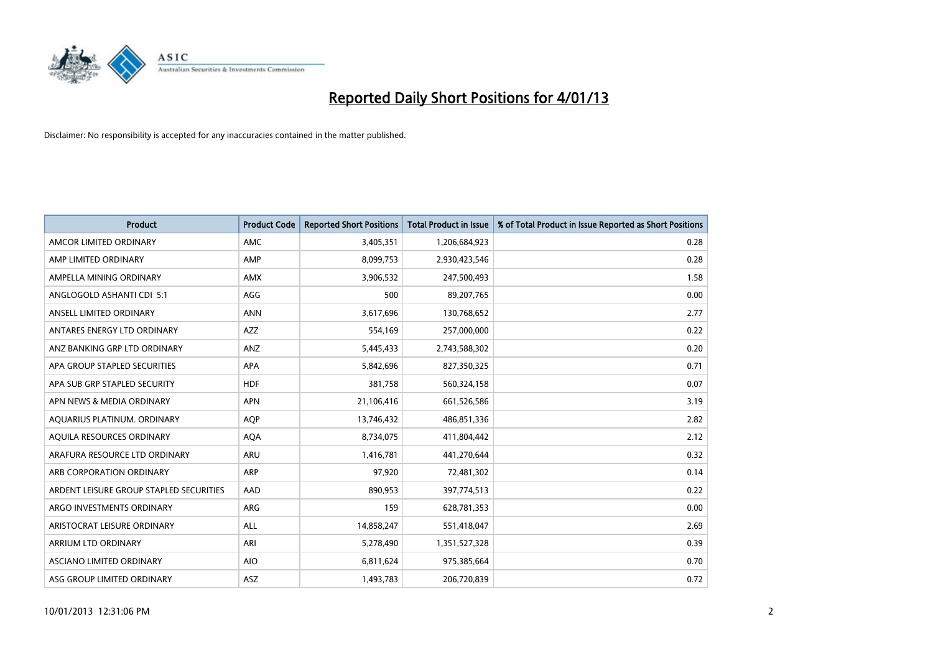

| <b>Product</b>                          | <b>Product Code</b> | <b>Reported Short Positions</b> | <b>Total Product in Issue</b> | % of Total Product in Issue Reported as Short Positions |
|-----------------------------------------|---------------------|---------------------------------|-------------------------------|---------------------------------------------------------|
| AMCOR LIMITED ORDINARY                  | <b>AMC</b>          | 3,405,351                       | 1,206,684,923                 | 0.28                                                    |
| AMP LIMITED ORDINARY                    | AMP                 | 8,099,753                       | 2,930,423,546                 | 0.28                                                    |
| AMPELLA MINING ORDINARY                 | <b>AMX</b>          | 3,906,532                       | 247,500,493                   | 1.58                                                    |
| ANGLOGOLD ASHANTI CDI 5:1               | AGG                 | 500                             | 89,207,765                    | 0.00                                                    |
| ANSELL LIMITED ORDINARY                 | <b>ANN</b>          | 3,617,696                       | 130,768,652                   | 2.77                                                    |
| ANTARES ENERGY LTD ORDINARY             | <b>AZZ</b>          | 554,169                         | 257,000,000                   | 0.22                                                    |
| ANZ BANKING GRP LTD ORDINARY            | ANZ                 | 5,445,433                       | 2,743,588,302                 | 0.20                                                    |
| APA GROUP STAPLED SECURITIES            | <b>APA</b>          | 5,842,696                       | 827,350,325                   | 0.71                                                    |
| APA SUB GRP STAPLED SECURITY            | <b>HDF</b>          | 381,758                         | 560,324,158                   | 0.07                                                    |
| APN NEWS & MEDIA ORDINARY               | <b>APN</b>          | 21,106,416                      | 661,526,586                   | 3.19                                                    |
| AQUARIUS PLATINUM. ORDINARY             | <b>AOP</b>          | 13,746,432                      | 486,851,336                   | 2.82                                                    |
| AQUILA RESOURCES ORDINARY               | <b>AQA</b>          | 8,734,075                       | 411,804,442                   | 2.12                                                    |
| ARAFURA RESOURCE LTD ORDINARY           | <b>ARU</b>          | 1,416,781                       | 441,270,644                   | 0.32                                                    |
| ARB CORPORATION ORDINARY                | <b>ARP</b>          | 97,920                          | 72,481,302                    | 0.14                                                    |
| ARDENT LEISURE GROUP STAPLED SECURITIES | AAD                 | 890,953                         | 397,774,513                   | 0.22                                                    |
| ARGO INVESTMENTS ORDINARY               | <b>ARG</b>          | 159                             | 628,781,353                   | 0.00                                                    |
| ARISTOCRAT LEISURE ORDINARY             | <b>ALL</b>          | 14,858,247                      | 551,418,047                   | 2.69                                                    |
| ARRIUM LTD ORDINARY                     | ARI                 | 5,278,490                       | 1,351,527,328                 | 0.39                                                    |
| ASCIANO LIMITED ORDINARY                | <b>AIO</b>          | 6,811,624                       | 975,385,664                   | 0.70                                                    |
| ASG GROUP LIMITED ORDINARY              | <b>ASZ</b>          | 1,493,783                       | 206,720,839                   | 0.72                                                    |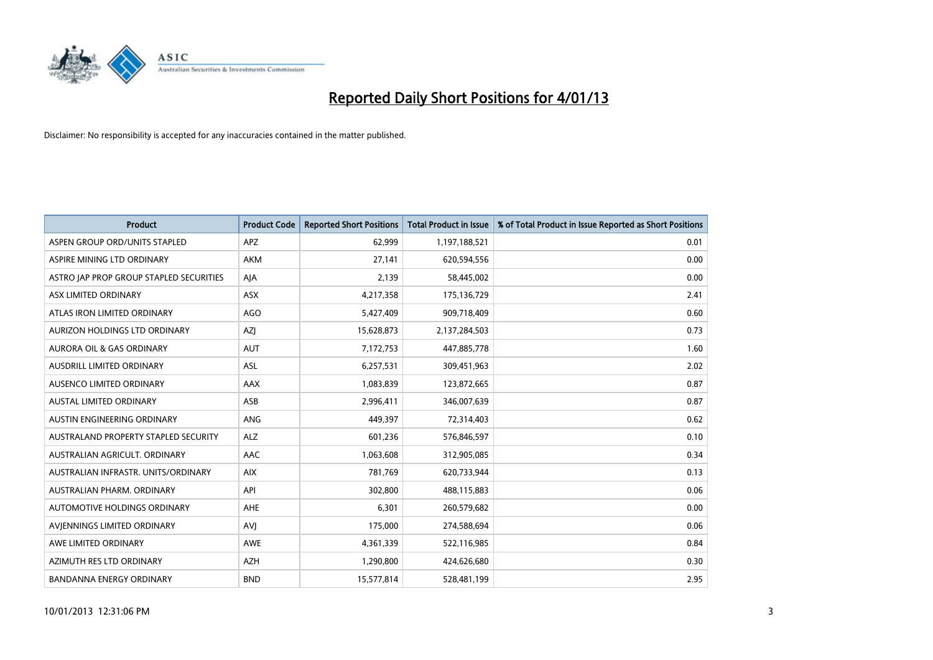

| <b>Product</b>                              | <b>Product Code</b> | <b>Reported Short Positions</b> | <b>Total Product in Issue</b> | % of Total Product in Issue Reported as Short Positions |
|---------------------------------------------|---------------------|---------------------------------|-------------------------------|---------------------------------------------------------|
| ASPEN GROUP ORD/UNITS STAPLED               | <b>APZ</b>          | 62,999                          | 1,197,188,521                 | 0.01                                                    |
| ASPIRE MINING LTD ORDINARY                  | <b>AKM</b>          | 27,141                          | 620,594,556                   | 0.00                                                    |
| ASTRO JAP PROP GROUP STAPLED SECURITIES     | AJA                 | 2,139                           | 58,445,002                    | 0.00                                                    |
| ASX LIMITED ORDINARY                        | ASX                 | 4,217,358                       | 175,136,729                   | 2.41                                                    |
| ATLAS IRON LIMITED ORDINARY                 | AGO                 | 5,427,409                       | 909,718,409                   | 0.60                                                    |
| AURIZON HOLDINGS LTD ORDINARY               | <b>AZI</b>          | 15,628,873                      | 2,137,284,503                 | 0.73                                                    |
| AURORA OIL & GAS ORDINARY                   | <b>AUT</b>          | 7,172,753                       | 447,885,778                   | 1.60                                                    |
| AUSDRILL LIMITED ORDINARY                   | ASL                 | 6,257,531                       | 309,451,963                   | 2.02                                                    |
| AUSENCO LIMITED ORDINARY                    | AAX                 | 1,083,839                       | 123,872,665                   | 0.87                                                    |
| <b>AUSTAL LIMITED ORDINARY</b>              | ASB                 | 2,996,411                       | 346,007,639                   | 0.87                                                    |
| AUSTIN ENGINEERING ORDINARY                 | ANG                 | 449,397                         | 72,314,403                    | 0.62                                                    |
| <b>AUSTRALAND PROPERTY STAPLED SECURITY</b> | <b>ALZ</b>          | 601,236                         | 576,846,597                   | 0.10                                                    |
| AUSTRALIAN AGRICULT. ORDINARY               | AAC                 | 1,063,608                       | 312,905,085                   | 0.34                                                    |
| AUSTRALIAN INFRASTR. UNITS/ORDINARY         | <b>AIX</b>          | 781,769                         | 620,733,944                   | 0.13                                                    |
| AUSTRALIAN PHARM, ORDINARY                  | API                 | 302,800                         | 488,115,883                   | 0.06                                                    |
| AUTOMOTIVE HOLDINGS ORDINARY                | AHE                 | 6,301                           | 260,579,682                   | 0.00                                                    |
| AVIENNINGS LIMITED ORDINARY                 | AVI                 | 175,000                         | 274,588,694                   | 0.06                                                    |
| AWE LIMITED ORDINARY                        | <b>AWE</b>          | 4,361,339                       | 522,116,985                   | 0.84                                                    |
| AZIMUTH RES LTD ORDINARY                    | <b>AZH</b>          | 1,290,800                       | 424,626,680                   | 0.30                                                    |
| <b>BANDANNA ENERGY ORDINARY</b>             | <b>BND</b>          | 15,577,814                      | 528,481,199                   | 2.95                                                    |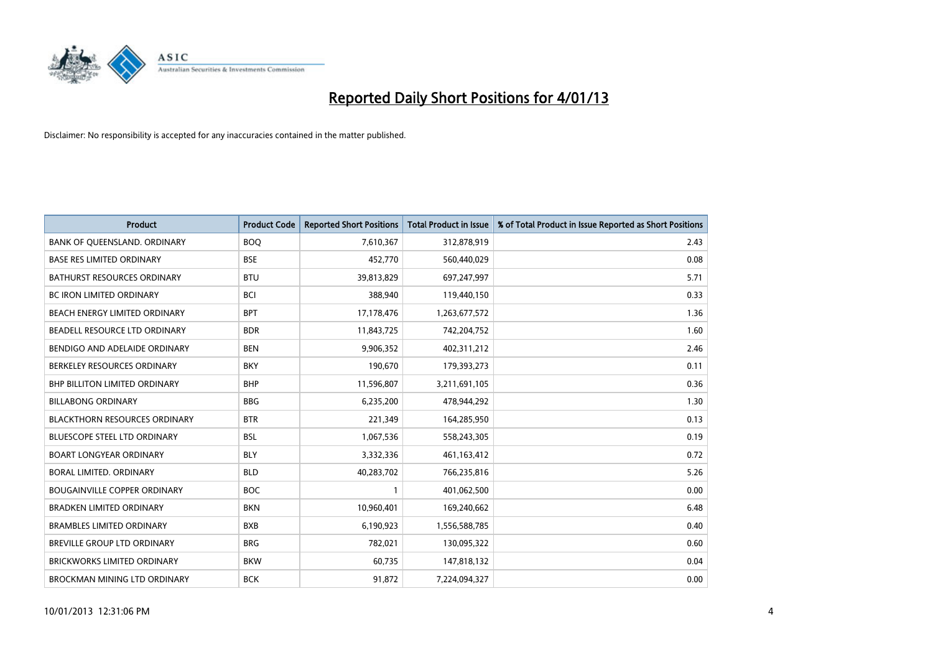

| <b>Product</b>                       | <b>Product Code</b> | <b>Reported Short Positions</b> | <b>Total Product in Issue</b> | % of Total Product in Issue Reported as Short Positions |
|--------------------------------------|---------------------|---------------------------------|-------------------------------|---------------------------------------------------------|
| BANK OF QUEENSLAND. ORDINARY         | <b>BOO</b>          | 7,610,367                       | 312,878,919                   | 2.43                                                    |
| <b>BASE RES LIMITED ORDINARY</b>     | <b>BSE</b>          | 452,770                         | 560,440,029                   | 0.08                                                    |
| <b>BATHURST RESOURCES ORDINARY</b>   | <b>BTU</b>          | 39,813,829                      | 697,247,997                   | 5.71                                                    |
| BC IRON LIMITED ORDINARY             | <b>BCI</b>          | 388,940                         | 119,440,150                   | 0.33                                                    |
| <b>BEACH ENERGY LIMITED ORDINARY</b> | <b>BPT</b>          | 17,178,476                      | 1,263,677,572                 | 1.36                                                    |
| BEADELL RESOURCE LTD ORDINARY        | <b>BDR</b>          | 11,843,725                      | 742,204,752                   | 1.60                                                    |
| BENDIGO AND ADELAIDE ORDINARY        | <b>BEN</b>          | 9,906,352                       | 402,311,212                   | 2.46                                                    |
| BERKELEY RESOURCES ORDINARY          | <b>BKY</b>          | 190,670                         | 179,393,273                   | 0.11                                                    |
| BHP BILLITON LIMITED ORDINARY        | <b>BHP</b>          | 11,596,807                      | 3,211,691,105                 | 0.36                                                    |
| <b>BILLABONG ORDINARY</b>            | <b>BBG</b>          | 6,235,200                       | 478,944,292                   | 1.30                                                    |
| <b>BLACKTHORN RESOURCES ORDINARY</b> | <b>BTR</b>          | 221,349                         | 164,285,950                   | 0.13                                                    |
| <b>BLUESCOPE STEEL LTD ORDINARY</b>  | <b>BSL</b>          | 1,067,536                       | 558,243,305                   | 0.19                                                    |
| <b>BOART LONGYEAR ORDINARY</b>       | <b>BLY</b>          | 3,332,336                       | 461,163,412                   | 0.72                                                    |
| <b>BORAL LIMITED, ORDINARY</b>       | <b>BLD</b>          | 40,283,702                      | 766,235,816                   | 5.26                                                    |
| <b>BOUGAINVILLE COPPER ORDINARY</b>  | <b>BOC</b>          | 1                               | 401,062,500                   | 0.00                                                    |
| <b>BRADKEN LIMITED ORDINARY</b>      | <b>BKN</b>          | 10,960,401                      | 169,240,662                   | 6.48                                                    |
| <b>BRAMBLES LIMITED ORDINARY</b>     | <b>BXB</b>          | 6,190,923                       | 1,556,588,785                 | 0.40                                                    |
| BREVILLE GROUP LTD ORDINARY          | <b>BRG</b>          | 782,021                         | 130,095,322                   | 0.60                                                    |
| <b>BRICKWORKS LIMITED ORDINARY</b>   | <b>BKW</b>          | 60,735                          | 147,818,132                   | 0.04                                                    |
| <b>BROCKMAN MINING LTD ORDINARY</b>  | <b>BCK</b>          | 91,872                          | 7.224.094.327                 | 0.00                                                    |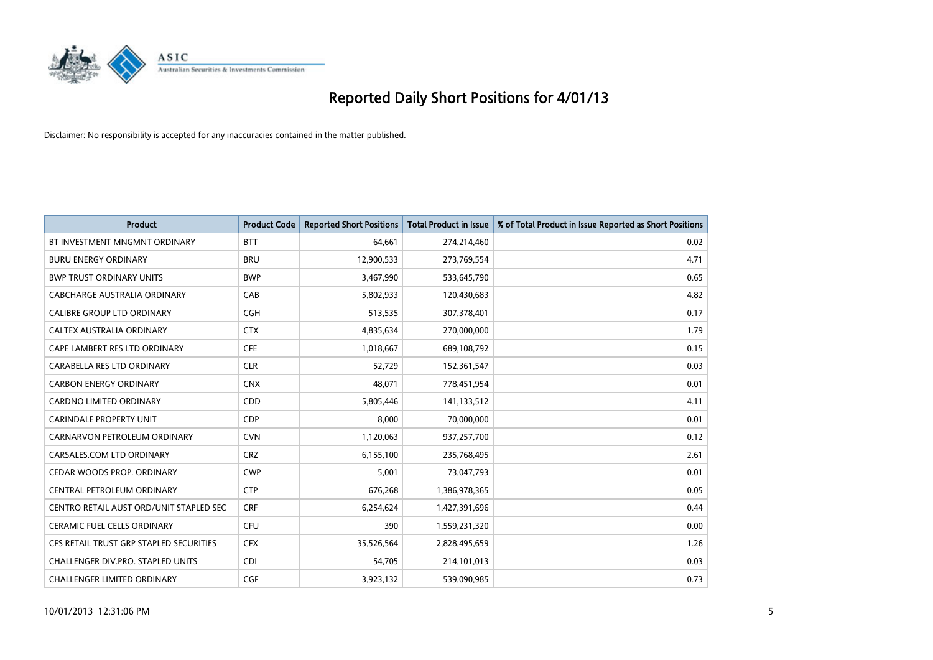

| <b>Product</b>                          | <b>Product Code</b> | <b>Reported Short Positions</b> | <b>Total Product in Issue</b> | % of Total Product in Issue Reported as Short Positions |
|-----------------------------------------|---------------------|---------------------------------|-------------------------------|---------------------------------------------------------|
| BT INVESTMENT MNGMNT ORDINARY           | <b>BTT</b>          | 64,661                          | 274,214,460                   | 0.02                                                    |
| <b>BURU ENERGY ORDINARY</b>             | <b>BRU</b>          | 12,900,533                      | 273,769,554                   | 4.71                                                    |
| <b>BWP TRUST ORDINARY UNITS</b>         | <b>BWP</b>          | 3,467,990                       | 533,645,790                   | 0.65                                                    |
| CABCHARGE AUSTRALIA ORDINARY            | CAB                 | 5,802,933                       | 120,430,683                   | 4.82                                                    |
| <b>CALIBRE GROUP LTD ORDINARY</b>       | <b>CGH</b>          | 513,535                         | 307,378,401                   | 0.17                                                    |
| CALTEX AUSTRALIA ORDINARY               | <b>CTX</b>          | 4,835,634                       | 270,000,000                   | 1.79                                                    |
| CAPE LAMBERT RES LTD ORDINARY           | <b>CFE</b>          | 1,018,667                       | 689,108,792                   | 0.15                                                    |
| CARABELLA RES LTD ORDINARY              | <b>CLR</b>          | 52,729                          | 152,361,547                   | 0.03                                                    |
| <b>CARBON ENERGY ORDINARY</b>           | <b>CNX</b>          | 48,071                          | 778,451,954                   | 0.01                                                    |
| <b>CARDNO LIMITED ORDINARY</b>          | CDD                 | 5,805,446                       | 141,133,512                   | 4.11                                                    |
| <b>CARINDALE PROPERTY UNIT</b>          | <b>CDP</b>          | 8,000                           | 70,000,000                    | 0.01                                                    |
| CARNARVON PETROLEUM ORDINARY            | <b>CVN</b>          | 1,120,063                       | 937,257,700                   | 0.12                                                    |
| CARSALES.COM LTD ORDINARY               | <b>CRZ</b>          | 6,155,100                       | 235,768,495                   | 2.61                                                    |
| <b>CEDAR WOODS PROP. ORDINARY</b>       | <b>CWP</b>          | 5,001                           | 73,047,793                    | 0.01                                                    |
| CENTRAL PETROLEUM ORDINARY              | <b>CTP</b>          | 676,268                         | 1,386,978,365                 | 0.05                                                    |
| CENTRO RETAIL AUST ORD/UNIT STAPLED SEC | <b>CRF</b>          | 6,254,624                       | 1,427,391,696                 | 0.44                                                    |
| <b>CERAMIC FUEL CELLS ORDINARY</b>      | <b>CFU</b>          | 390                             | 1,559,231,320                 | 0.00                                                    |
| CFS RETAIL TRUST GRP STAPLED SECURITIES | <b>CFX</b>          | 35,526,564                      | 2,828,495,659                 | 1.26                                                    |
| CHALLENGER DIV.PRO. STAPLED UNITS       | <b>CDI</b>          | 54,705                          | 214,101,013                   | 0.03                                                    |
| <b>CHALLENGER LIMITED ORDINARY</b>      | <b>CGF</b>          | 3,923,132                       | 539,090,985                   | 0.73                                                    |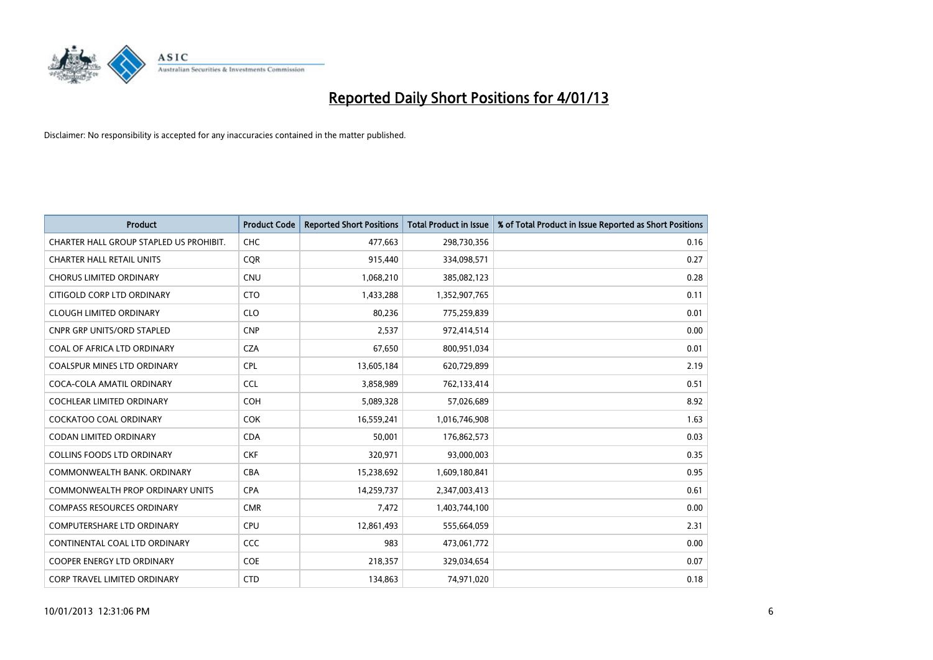

| <b>Product</b>                          | <b>Product Code</b> | <b>Reported Short Positions</b> | <b>Total Product in Issue</b> | % of Total Product in Issue Reported as Short Positions |
|-----------------------------------------|---------------------|---------------------------------|-------------------------------|---------------------------------------------------------|
| CHARTER HALL GROUP STAPLED US PROHIBIT. | <b>CHC</b>          | 477,663                         | 298,730,356                   | 0.16                                                    |
| <b>CHARTER HALL RETAIL UNITS</b>        | <b>COR</b>          | 915,440                         | 334,098,571                   | 0.27                                                    |
| <b>CHORUS LIMITED ORDINARY</b>          | <b>CNU</b>          | 1,068,210                       | 385,082,123                   | 0.28                                                    |
| CITIGOLD CORP LTD ORDINARY              | <b>CTO</b>          | 1,433,288                       | 1,352,907,765                 | 0.11                                                    |
| <b>CLOUGH LIMITED ORDINARY</b>          | <b>CLO</b>          | 80,236                          | 775,259,839                   | 0.01                                                    |
| <b>CNPR GRP UNITS/ORD STAPLED</b>       | <b>CNP</b>          | 2,537                           | 972,414,514                   | 0.00                                                    |
| COAL OF AFRICA LTD ORDINARY             | <b>CZA</b>          | 67,650                          | 800,951,034                   | 0.01                                                    |
| COALSPUR MINES LTD ORDINARY             | <b>CPL</b>          | 13,605,184                      | 620,729,899                   | 2.19                                                    |
| COCA-COLA AMATIL ORDINARY               | <b>CCL</b>          | 3,858,989                       | 762,133,414                   | 0.51                                                    |
| <b>COCHLEAR LIMITED ORDINARY</b>        | <b>COH</b>          | 5,089,328                       | 57,026,689                    | 8.92                                                    |
| COCKATOO COAL ORDINARY                  | <b>COK</b>          | 16,559,241                      | 1,016,746,908                 | 1.63                                                    |
| <b>CODAN LIMITED ORDINARY</b>           | <b>CDA</b>          | 50,001                          | 176,862,573                   | 0.03                                                    |
| COLLINS FOODS LTD ORDINARY              | <b>CKF</b>          | 320,971                         | 93,000,003                    | 0.35                                                    |
| COMMONWEALTH BANK, ORDINARY             | <b>CBA</b>          | 15,238,692                      | 1,609,180,841                 | 0.95                                                    |
| <b>COMMONWEALTH PROP ORDINARY UNITS</b> | <b>CPA</b>          | 14,259,737                      | 2,347,003,413                 | 0.61                                                    |
| <b>COMPASS RESOURCES ORDINARY</b>       | <b>CMR</b>          | 7,472                           | 1,403,744,100                 | 0.00                                                    |
| COMPUTERSHARE LTD ORDINARY              | <b>CPU</b>          | 12,861,493                      | 555,664,059                   | 2.31                                                    |
| CONTINENTAL COAL LTD ORDINARY           | CCC                 | 983                             | 473,061,772                   | 0.00                                                    |
| <b>COOPER ENERGY LTD ORDINARY</b>       | <b>COE</b>          | 218,357                         | 329,034,654                   | 0.07                                                    |
| CORP TRAVEL LIMITED ORDINARY            | <b>CTD</b>          | 134,863                         | 74,971,020                    | 0.18                                                    |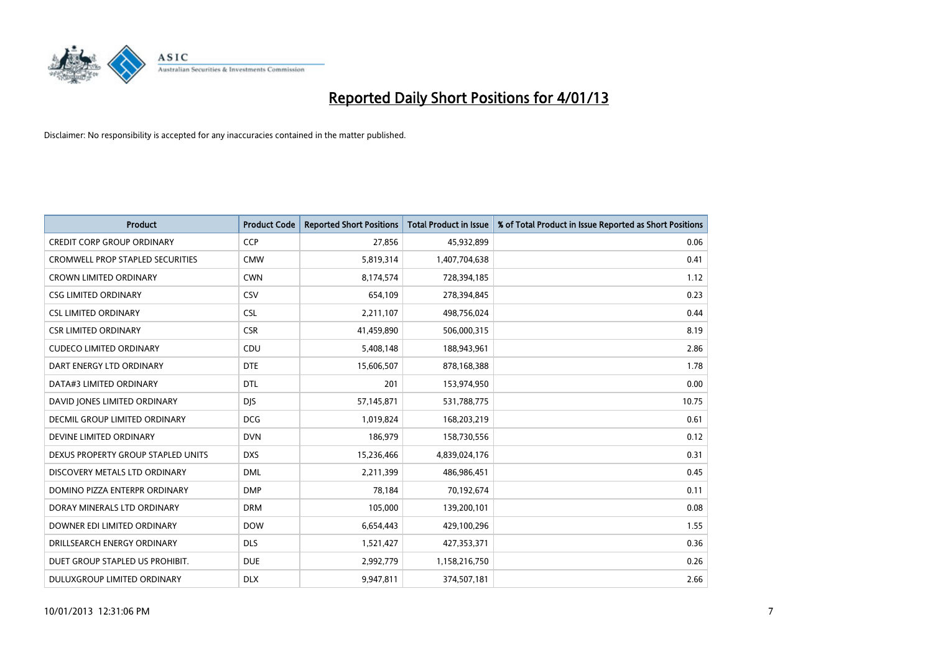

| <b>Product</b>                          | <b>Product Code</b> | <b>Reported Short Positions</b> | <b>Total Product in Issue</b> | % of Total Product in Issue Reported as Short Positions |
|-----------------------------------------|---------------------|---------------------------------|-------------------------------|---------------------------------------------------------|
| <b>CREDIT CORP GROUP ORDINARY</b>       | <b>CCP</b>          | 27,856                          | 45,932,899                    | 0.06                                                    |
| <b>CROMWELL PROP STAPLED SECURITIES</b> | <b>CMW</b>          | 5,819,314                       | 1,407,704,638                 | 0.41                                                    |
| <b>CROWN LIMITED ORDINARY</b>           | <b>CWN</b>          | 8,174,574                       | 728,394,185                   | 1.12                                                    |
| <b>CSG LIMITED ORDINARY</b>             | CSV                 | 654,109                         | 278,394,845                   | 0.23                                                    |
| <b>CSL LIMITED ORDINARY</b>             | <b>CSL</b>          | 2,211,107                       | 498,756,024                   | 0.44                                                    |
| <b>CSR LIMITED ORDINARY</b>             | <b>CSR</b>          | 41,459,890                      | 506,000,315                   | 8.19                                                    |
| <b>CUDECO LIMITED ORDINARY</b>          | CDU                 | 5,408,148                       | 188,943,961                   | 2.86                                                    |
| DART ENERGY LTD ORDINARY                | <b>DTE</b>          | 15,606,507                      | 878,168,388                   | 1.78                                                    |
| DATA#3 LIMITED ORDINARY                 | <b>DTL</b>          | 201                             | 153,974,950                   | 0.00                                                    |
| DAVID JONES LIMITED ORDINARY            | <b>DIS</b>          | 57,145,871                      | 531,788,775                   | 10.75                                                   |
| <b>DECMIL GROUP LIMITED ORDINARY</b>    | <b>DCG</b>          | 1,019,824                       | 168,203,219                   | 0.61                                                    |
| DEVINE LIMITED ORDINARY                 | <b>DVN</b>          | 186,979                         | 158,730,556                   | 0.12                                                    |
| DEXUS PROPERTY GROUP STAPLED UNITS      | <b>DXS</b>          | 15,236,466                      | 4,839,024,176                 | 0.31                                                    |
| DISCOVERY METALS LTD ORDINARY           | <b>DML</b>          | 2,211,399                       | 486,986,451                   | 0.45                                                    |
| DOMINO PIZZA ENTERPR ORDINARY           | <b>DMP</b>          | 78,184                          | 70,192,674                    | 0.11                                                    |
| DORAY MINERALS LTD ORDINARY             | <b>DRM</b>          | 105,000                         | 139,200,101                   | 0.08                                                    |
| DOWNER EDI LIMITED ORDINARY             | <b>DOW</b>          | 6,654,443                       | 429,100,296                   | 1.55                                                    |
| DRILLSEARCH ENERGY ORDINARY             | <b>DLS</b>          | 1,521,427                       | 427,353,371                   | 0.36                                                    |
| DUET GROUP STAPLED US PROHIBIT.         | <b>DUE</b>          | 2,992,779                       | 1,158,216,750                 | 0.26                                                    |
| DULUXGROUP LIMITED ORDINARY             | <b>DLX</b>          | 9.947.811                       | 374,507,181                   | 2.66                                                    |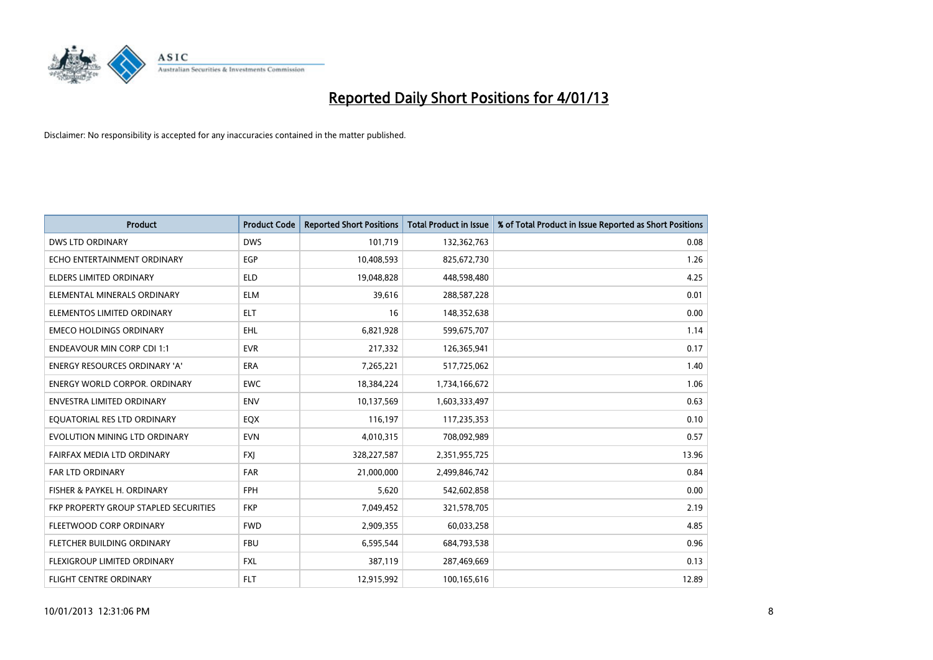

| <b>Product</b>                        | <b>Product Code</b> | <b>Reported Short Positions</b> | <b>Total Product in Issue</b> | % of Total Product in Issue Reported as Short Positions |
|---------------------------------------|---------------------|---------------------------------|-------------------------------|---------------------------------------------------------|
| <b>DWS LTD ORDINARY</b>               | <b>DWS</b>          | 101,719                         | 132,362,763                   | 0.08                                                    |
| ECHO ENTERTAINMENT ORDINARY           | <b>EGP</b>          | 10,408,593                      | 825,672,730                   | 1.26                                                    |
| <b>ELDERS LIMITED ORDINARY</b>        | <b>ELD</b>          | 19,048,828                      | 448,598,480                   | 4.25                                                    |
| ELEMENTAL MINERALS ORDINARY           | <b>ELM</b>          | 39,616                          | 288,587,228                   | 0.01                                                    |
| ELEMENTOS LIMITED ORDINARY            | <b>ELT</b>          | 16                              | 148,352,638                   | 0.00                                                    |
| <b>EMECO HOLDINGS ORDINARY</b>        | EHL.                | 6,821,928                       | 599,675,707                   | 1.14                                                    |
| <b>ENDEAVOUR MIN CORP CDI 1:1</b>     | <b>EVR</b>          | 217,332                         | 126,365,941                   | 0.17                                                    |
| <b>ENERGY RESOURCES ORDINARY 'A'</b>  | <b>ERA</b>          | 7,265,221                       | 517,725,062                   | 1.40                                                    |
| <b>ENERGY WORLD CORPOR. ORDINARY</b>  | <b>EWC</b>          | 18,384,224                      | 1,734,166,672                 | 1.06                                                    |
| <b>ENVESTRA LIMITED ORDINARY</b>      | <b>ENV</b>          | 10,137,569                      | 1,603,333,497                 | 0.63                                                    |
| EQUATORIAL RES LTD ORDINARY           | EQX                 | 116,197                         | 117,235,353                   | 0.10                                                    |
| EVOLUTION MINING LTD ORDINARY         | <b>EVN</b>          | 4,010,315                       | 708,092,989                   | 0.57                                                    |
| FAIRFAX MEDIA LTD ORDINARY            | <b>FXI</b>          | 328,227,587                     | 2,351,955,725                 | 13.96                                                   |
| <b>FAR LTD ORDINARY</b>               | <b>FAR</b>          | 21,000,000                      | 2,499,846,742                 | 0.84                                                    |
| FISHER & PAYKEL H. ORDINARY           | <b>FPH</b>          | 5,620                           | 542,602,858                   | 0.00                                                    |
| FKP PROPERTY GROUP STAPLED SECURITIES | <b>FKP</b>          | 7,049,452                       | 321,578,705                   | 2.19                                                    |
| FLEETWOOD CORP ORDINARY               | <b>FWD</b>          | 2,909,355                       | 60,033,258                    | 4.85                                                    |
| FLETCHER BUILDING ORDINARY            | <b>FBU</b>          | 6,595,544                       | 684,793,538                   | 0.96                                                    |
| FLEXIGROUP LIMITED ORDINARY           | <b>FXL</b>          | 387,119                         | 287,469,669                   | 0.13                                                    |
| FLIGHT CENTRE ORDINARY                | <b>FLT</b>          | 12,915,992                      | 100,165,616                   | 12.89                                                   |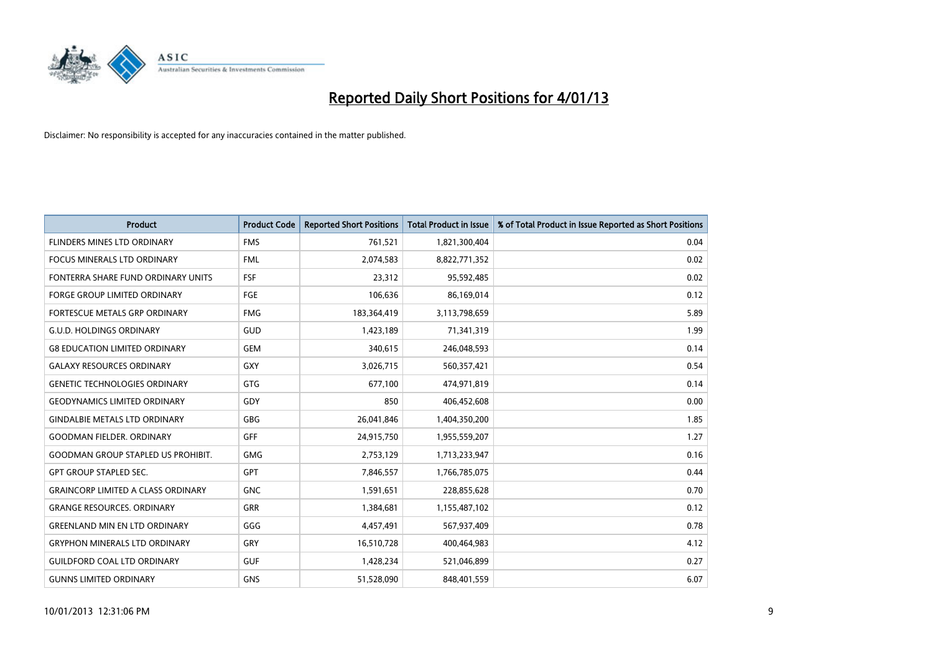

| <b>Product</b>                            | <b>Product Code</b> | <b>Reported Short Positions</b> | <b>Total Product in Issue</b> | % of Total Product in Issue Reported as Short Positions |
|-------------------------------------------|---------------------|---------------------------------|-------------------------------|---------------------------------------------------------|
| FLINDERS MINES LTD ORDINARY               | <b>FMS</b>          | 761,521                         | 1,821,300,404                 | 0.04                                                    |
| FOCUS MINERALS LTD ORDINARY               | <b>FML</b>          | 2,074,583                       | 8,822,771,352                 | 0.02                                                    |
| FONTERRA SHARE FUND ORDINARY UNITS        | FSF                 | 23,312                          | 95,592,485                    | 0.02                                                    |
| FORGE GROUP LIMITED ORDINARY              | FGE                 | 106,636                         | 86,169,014                    | 0.12                                                    |
| FORTESCUE METALS GRP ORDINARY             | <b>FMG</b>          | 183,364,419                     | 3,113,798,659                 | 5.89                                                    |
| <b>G.U.D. HOLDINGS ORDINARY</b>           | GUD                 | 1,423,189                       | 71,341,319                    | 1.99                                                    |
| <b>G8 EDUCATION LIMITED ORDINARY</b>      | <b>GEM</b>          | 340,615                         | 246,048,593                   | 0.14                                                    |
| <b>GALAXY RESOURCES ORDINARY</b>          | <b>GXY</b>          | 3,026,715                       | 560,357,421                   | 0.54                                                    |
| <b>GENETIC TECHNOLOGIES ORDINARY</b>      | <b>GTG</b>          | 677,100                         | 474,971,819                   | 0.14                                                    |
| <b>GEODYNAMICS LIMITED ORDINARY</b>       | GDY                 | 850                             | 406,452,608                   | 0.00                                                    |
| <b>GINDALBIE METALS LTD ORDINARY</b>      | <b>GBG</b>          | 26,041,846                      | 1,404,350,200                 | 1.85                                                    |
| <b>GOODMAN FIELDER, ORDINARY</b>          | <b>GFF</b>          | 24,915,750                      | 1,955,559,207                 | 1.27                                                    |
| <b>GOODMAN GROUP STAPLED US PROHIBIT.</b> | <b>GMG</b>          | 2,753,129                       | 1,713,233,947                 | 0.16                                                    |
| <b>GPT GROUP STAPLED SEC.</b>             | <b>GPT</b>          | 7,846,557                       | 1,766,785,075                 | 0.44                                                    |
| <b>GRAINCORP LIMITED A CLASS ORDINARY</b> | <b>GNC</b>          | 1,591,651                       | 228,855,628                   | 0.70                                                    |
| <b>GRANGE RESOURCES. ORDINARY</b>         | GRR                 | 1,384,681                       | 1,155,487,102                 | 0.12                                                    |
| <b>GREENLAND MIN EN LTD ORDINARY</b>      | GGG                 | 4,457,491                       | 567,937,409                   | 0.78                                                    |
| <b>GRYPHON MINERALS LTD ORDINARY</b>      | GRY                 | 16,510,728                      | 400,464,983                   | 4.12                                                    |
| <b>GUILDFORD COAL LTD ORDINARY</b>        | <b>GUF</b>          | 1,428,234                       | 521,046,899                   | 0.27                                                    |
| <b>GUNNS LIMITED ORDINARY</b>             | <b>GNS</b>          | 51,528,090                      | 848,401,559                   | 6.07                                                    |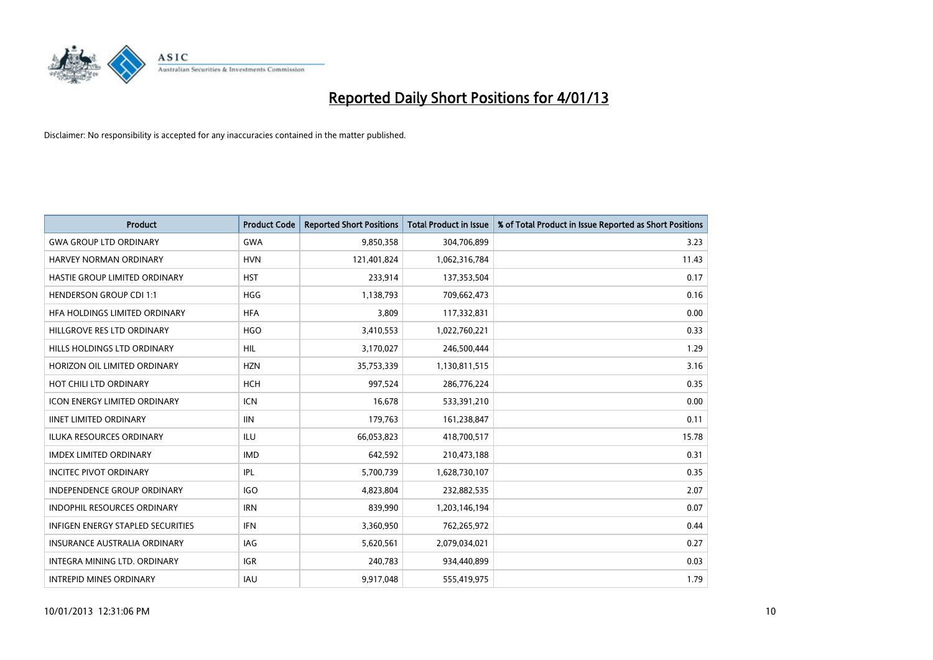

| <b>Product</b>                           | <b>Product Code</b> | <b>Reported Short Positions</b> | <b>Total Product in Issue</b> | % of Total Product in Issue Reported as Short Positions |
|------------------------------------------|---------------------|---------------------------------|-------------------------------|---------------------------------------------------------|
| <b>GWA GROUP LTD ORDINARY</b>            | <b>GWA</b>          | 9,850,358                       | 304,706,899                   | 3.23                                                    |
| <b>HARVEY NORMAN ORDINARY</b>            | <b>HVN</b>          | 121,401,824                     | 1,062,316,784                 | 11.43                                                   |
| HASTIE GROUP LIMITED ORDINARY            | <b>HST</b>          | 233,914                         | 137,353,504                   | 0.17                                                    |
| <b>HENDERSON GROUP CDI 1:1</b>           | <b>HGG</b>          | 1,138,793                       | 709,662,473                   | 0.16                                                    |
| HFA HOLDINGS LIMITED ORDINARY            | <b>HFA</b>          | 3,809                           | 117,332,831                   | 0.00                                                    |
| HILLGROVE RES LTD ORDINARY               | <b>HGO</b>          | 3,410,553                       | 1,022,760,221                 | 0.33                                                    |
| HILLS HOLDINGS LTD ORDINARY              | <b>HIL</b>          | 3,170,027                       | 246,500,444                   | 1.29                                                    |
| HORIZON OIL LIMITED ORDINARY             | <b>HZN</b>          | 35,753,339                      | 1,130,811,515                 | 3.16                                                    |
| HOT CHILI LTD ORDINARY                   | <b>HCH</b>          | 997,524                         | 286,776,224                   | 0.35                                                    |
| <b>ICON ENERGY LIMITED ORDINARY</b>      | <b>ICN</b>          | 16,678                          | 533,391,210                   | 0.00                                                    |
| <b>IINET LIMITED ORDINARY</b>            | <b>IIN</b>          | 179,763                         | 161,238,847                   | 0.11                                                    |
| <b>ILUKA RESOURCES ORDINARY</b>          | ILU                 | 66,053,823                      | 418,700,517                   | 15.78                                                   |
| <b>IMDEX LIMITED ORDINARY</b>            | <b>IMD</b>          | 642,592                         | 210,473,188                   | 0.31                                                    |
| <b>INCITEC PIVOT ORDINARY</b>            | IPL                 | 5,700,739                       | 1,628,730,107                 | 0.35                                                    |
| <b>INDEPENDENCE GROUP ORDINARY</b>       | <b>IGO</b>          | 4,823,804                       | 232,882,535                   | 2.07                                                    |
| <b>INDOPHIL RESOURCES ORDINARY</b>       | <b>IRN</b>          | 839,990                         | 1,203,146,194                 | 0.07                                                    |
| <b>INFIGEN ENERGY STAPLED SECURITIES</b> | <b>IFN</b>          | 3,360,950                       | 762,265,972                   | 0.44                                                    |
| INSURANCE AUSTRALIA ORDINARY             | IAG                 | 5,620,561                       | 2,079,034,021                 | 0.27                                                    |
| <b>INTEGRA MINING LTD, ORDINARY</b>      | <b>IGR</b>          | 240,783                         | 934,440,899                   | 0.03                                                    |
| <b>INTREPID MINES ORDINARY</b>           | <b>IAU</b>          | 9,917,048                       | 555,419,975                   | 1.79                                                    |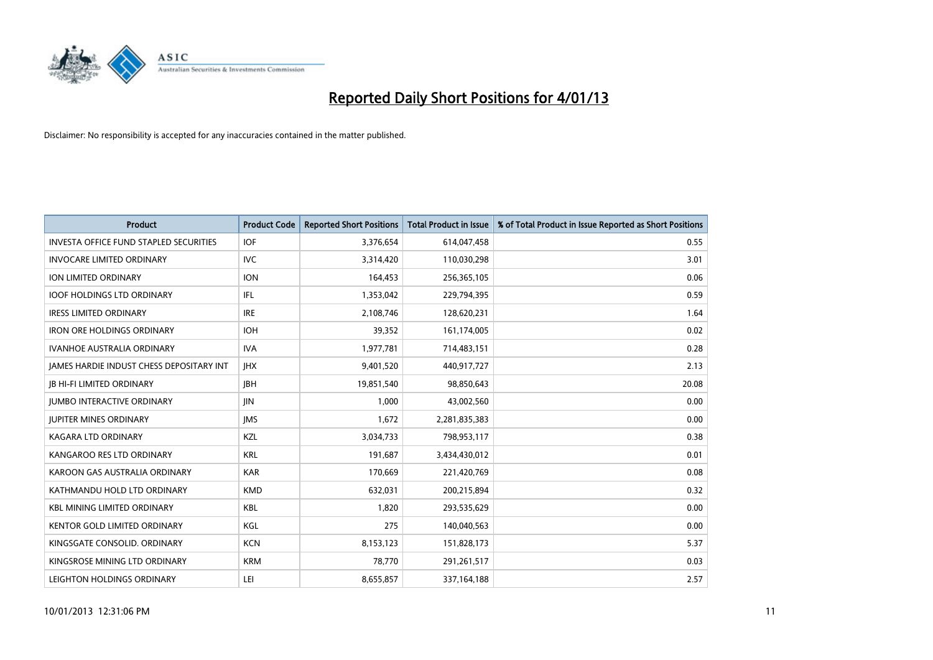

| <b>Product</b>                                  | <b>Product Code</b> | <b>Reported Short Positions</b> | <b>Total Product in Issue</b> | % of Total Product in Issue Reported as Short Positions |
|-------------------------------------------------|---------------------|---------------------------------|-------------------------------|---------------------------------------------------------|
| <b>INVESTA OFFICE FUND STAPLED SECURITIES</b>   | <b>IOF</b>          | 3,376,654                       | 614,047,458                   | 0.55                                                    |
| <b>INVOCARE LIMITED ORDINARY</b>                | IVC                 | 3,314,420                       | 110,030,298                   | 3.01                                                    |
| <b>ION LIMITED ORDINARY</b>                     | <b>ION</b>          | 164,453                         | 256,365,105                   | 0.06                                                    |
| <b>IOOF HOLDINGS LTD ORDINARY</b>               | <b>IFL</b>          | 1,353,042                       | 229,794,395                   | 0.59                                                    |
| <b>IRESS LIMITED ORDINARY</b>                   | <b>IRE</b>          | 2,108,746                       | 128,620,231                   | 1.64                                                    |
| <b>IRON ORE HOLDINGS ORDINARY</b>               | <b>IOH</b>          | 39,352                          | 161,174,005                   | 0.02                                                    |
| <b>IVANHOE AUSTRALIA ORDINARY</b>               | <b>IVA</b>          | 1,977,781                       | 714,483,151                   | 0.28                                                    |
| <b>JAMES HARDIE INDUST CHESS DEPOSITARY INT</b> | <b>IHX</b>          | 9,401,520                       | 440,917,727                   | 2.13                                                    |
| <b>IB HI-FI LIMITED ORDINARY</b>                | <b>IBH</b>          | 19,851,540                      | 98,850,643                    | 20.08                                                   |
| <b>JUMBO INTERACTIVE ORDINARY</b>               | <b>JIN</b>          | 1,000                           | 43,002,560                    | 0.00                                                    |
| <b>JUPITER MINES ORDINARY</b>                   | <b>IMS</b>          | 1,672                           | 2,281,835,383                 | 0.00                                                    |
| <b>KAGARA LTD ORDINARY</b>                      | KZL                 | 3,034,733                       | 798,953,117                   | 0.38                                                    |
| KANGAROO RES LTD ORDINARY                       | <b>KRL</b>          | 191,687                         | 3,434,430,012                 | 0.01                                                    |
| KAROON GAS AUSTRALIA ORDINARY                   | <b>KAR</b>          | 170,669                         | 221,420,769                   | 0.08                                                    |
| KATHMANDU HOLD LTD ORDINARY                     | <b>KMD</b>          | 632,031                         | 200,215,894                   | 0.32                                                    |
| <b>KBL MINING LIMITED ORDINARY</b>              | <b>KBL</b>          | 1,820                           | 293,535,629                   | 0.00                                                    |
| KENTOR GOLD LIMITED ORDINARY                    | KGL                 | 275                             | 140,040,563                   | 0.00                                                    |
| KINGSGATE CONSOLID. ORDINARY                    | <b>KCN</b>          | 8,153,123                       | 151,828,173                   | 5.37                                                    |
| KINGSROSE MINING LTD ORDINARY                   | <b>KRM</b>          | 78,770                          | 291,261,517                   | 0.03                                                    |
| LEIGHTON HOLDINGS ORDINARY                      | LEI                 | 8,655,857                       | 337, 164, 188                 | 2.57                                                    |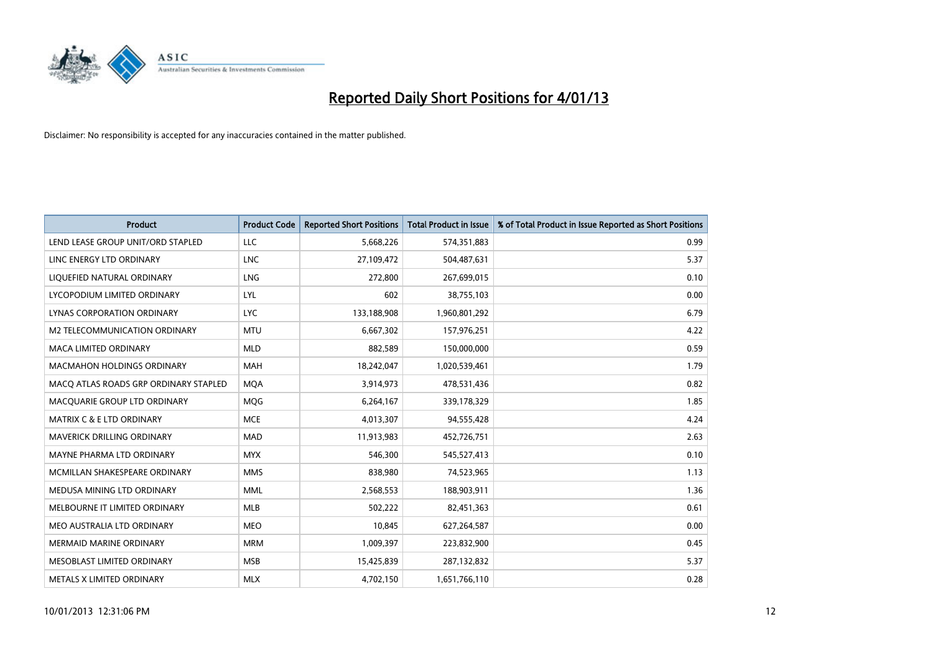

| <b>Product</b>                        | <b>Product Code</b> | <b>Reported Short Positions</b> | <b>Total Product in Issue</b> | % of Total Product in Issue Reported as Short Positions |
|---------------------------------------|---------------------|---------------------------------|-------------------------------|---------------------------------------------------------|
| LEND LEASE GROUP UNIT/ORD STAPLED     | LLC                 | 5,668,226                       | 574,351,883                   | 0.99                                                    |
| LINC ENERGY LTD ORDINARY              | <b>LNC</b>          | 27,109,472                      | 504,487,631                   | 5.37                                                    |
| LIQUEFIED NATURAL ORDINARY            | <b>LNG</b>          | 272,800                         | 267,699,015                   | 0.10                                                    |
| LYCOPODIUM LIMITED ORDINARY           | LYL                 | 602                             | 38,755,103                    | 0.00                                                    |
| LYNAS CORPORATION ORDINARY            | <b>LYC</b>          | 133,188,908                     | 1,960,801,292                 | 6.79                                                    |
| M2 TELECOMMUNICATION ORDINARY         | <b>MTU</b>          | 6,667,302                       | 157,976,251                   | 4.22                                                    |
| <b>MACA LIMITED ORDINARY</b>          | <b>MLD</b>          | 882,589                         | 150,000,000                   | 0.59                                                    |
| <b>MACMAHON HOLDINGS ORDINARY</b>     | <b>MAH</b>          | 18,242,047                      | 1,020,539,461                 | 1.79                                                    |
| MACQ ATLAS ROADS GRP ORDINARY STAPLED | <b>MQA</b>          | 3,914,973                       | 478,531,436                   | 0.82                                                    |
| MACOUARIE GROUP LTD ORDINARY          | <b>MOG</b>          | 6,264,167                       | 339,178,329                   | 1.85                                                    |
| <b>MATRIX C &amp; E LTD ORDINARY</b>  | <b>MCE</b>          | 4,013,307                       | 94,555,428                    | 4.24                                                    |
| <b>MAVERICK DRILLING ORDINARY</b>     | <b>MAD</b>          | 11,913,983                      | 452,726,751                   | 2.63                                                    |
| MAYNE PHARMA LTD ORDINARY             | <b>MYX</b>          | 546,300                         | 545,527,413                   | 0.10                                                    |
| MCMILLAN SHAKESPEARE ORDINARY         | <b>MMS</b>          | 838,980                         | 74,523,965                    | 1.13                                                    |
| MEDUSA MINING LTD ORDINARY            | <b>MML</b>          | 2,568,553                       | 188,903,911                   | 1.36                                                    |
| MELBOURNE IT LIMITED ORDINARY         | <b>MLB</b>          | 502,222                         | 82,451,363                    | 0.61                                                    |
| MEO AUSTRALIA LTD ORDINARY            | <b>MEO</b>          | 10,845                          | 627,264,587                   | 0.00                                                    |
| <b>MERMAID MARINE ORDINARY</b>        | <b>MRM</b>          | 1,009,397                       | 223,832,900                   | 0.45                                                    |
| MESOBLAST LIMITED ORDINARY            | <b>MSB</b>          | 15,425,839                      | 287,132,832                   | 5.37                                                    |
| METALS X LIMITED ORDINARY             | <b>MLX</b>          | 4,702,150                       | 1,651,766,110                 | 0.28                                                    |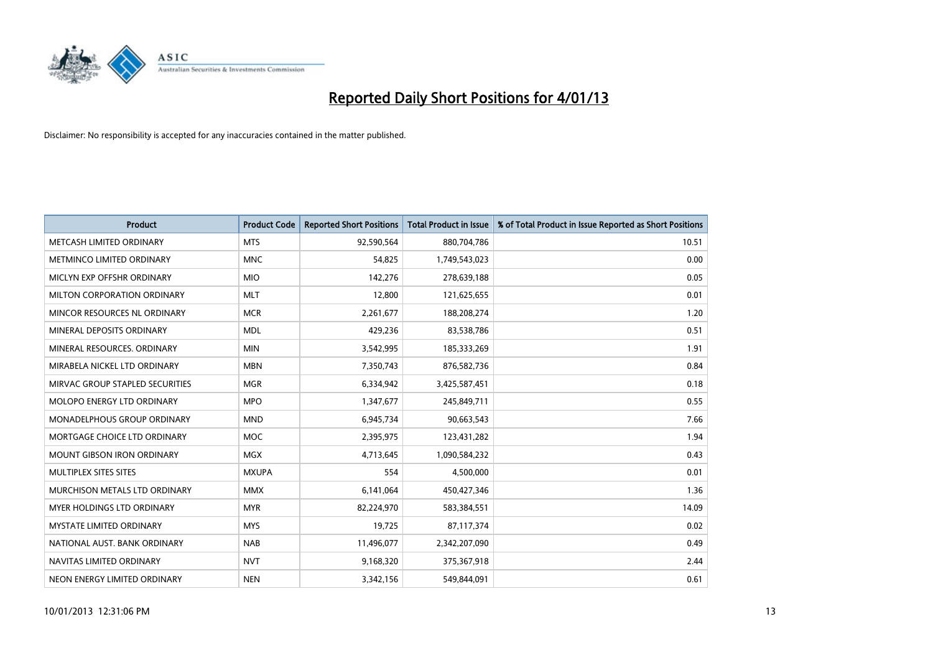

| <b>Product</b>                       | <b>Product Code</b> | <b>Reported Short Positions</b> | <b>Total Product in Issue</b> | % of Total Product in Issue Reported as Short Positions |
|--------------------------------------|---------------------|---------------------------------|-------------------------------|---------------------------------------------------------|
| METCASH LIMITED ORDINARY             | <b>MTS</b>          | 92,590,564                      | 880,704,786                   | 10.51                                                   |
| METMINCO LIMITED ORDINARY            | <b>MNC</b>          | 54,825                          | 1,749,543,023                 | 0.00                                                    |
| MICLYN EXP OFFSHR ORDINARY           | <b>MIO</b>          | 142,276                         | 278,639,188                   | 0.05                                                    |
| MILTON CORPORATION ORDINARY          | <b>MLT</b>          | 12,800                          | 121,625,655                   | 0.01                                                    |
| MINCOR RESOURCES NL ORDINARY         | <b>MCR</b>          | 2,261,677                       | 188,208,274                   | 1.20                                                    |
| MINERAL DEPOSITS ORDINARY            | <b>MDL</b>          | 429,236                         | 83,538,786                    | 0.51                                                    |
| MINERAL RESOURCES, ORDINARY          | <b>MIN</b>          | 3,542,995                       | 185,333,269                   | 1.91                                                    |
| MIRABELA NICKEL LTD ORDINARY         | <b>MBN</b>          | 7,350,743                       | 876,582,736                   | 0.84                                                    |
| MIRVAC GROUP STAPLED SECURITIES      | <b>MGR</b>          | 6,334,942                       | 3,425,587,451                 | 0.18                                                    |
| MOLOPO ENERGY LTD ORDINARY           | <b>MPO</b>          | 1,347,677                       | 245,849,711                   | 0.55                                                    |
| MONADELPHOUS GROUP ORDINARY          | <b>MND</b>          | 6,945,734                       | 90,663,543                    | 7.66                                                    |
| MORTGAGE CHOICE LTD ORDINARY         | <b>MOC</b>          | 2,395,975                       | 123,431,282                   | 1.94                                                    |
| MOUNT GIBSON IRON ORDINARY           | <b>MGX</b>          | 4,713,645                       | 1,090,584,232                 | 0.43                                                    |
| MULTIPLEX SITES SITES                | <b>MXUPA</b>        | 554                             | 4,500,000                     | 0.01                                                    |
| <b>MURCHISON METALS LTD ORDINARY</b> | <b>MMX</b>          | 6,141,064                       | 450,427,346                   | 1.36                                                    |
| <b>MYER HOLDINGS LTD ORDINARY</b>    | <b>MYR</b>          | 82,224,970                      | 583,384,551                   | 14.09                                                   |
| MYSTATE LIMITED ORDINARY             | <b>MYS</b>          | 19,725                          | 87,117,374                    | 0.02                                                    |
| NATIONAL AUST, BANK ORDINARY         | <b>NAB</b>          | 11,496,077                      | 2,342,207,090                 | 0.49                                                    |
| NAVITAS LIMITED ORDINARY             | <b>NVT</b>          | 9,168,320                       | 375,367,918                   | 2.44                                                    |
| NEON ENERGY LIMITED ORDINARY         | <b>NEN</b>          | 3,342,156                       | 549,844,091                   | 0.61                                                    |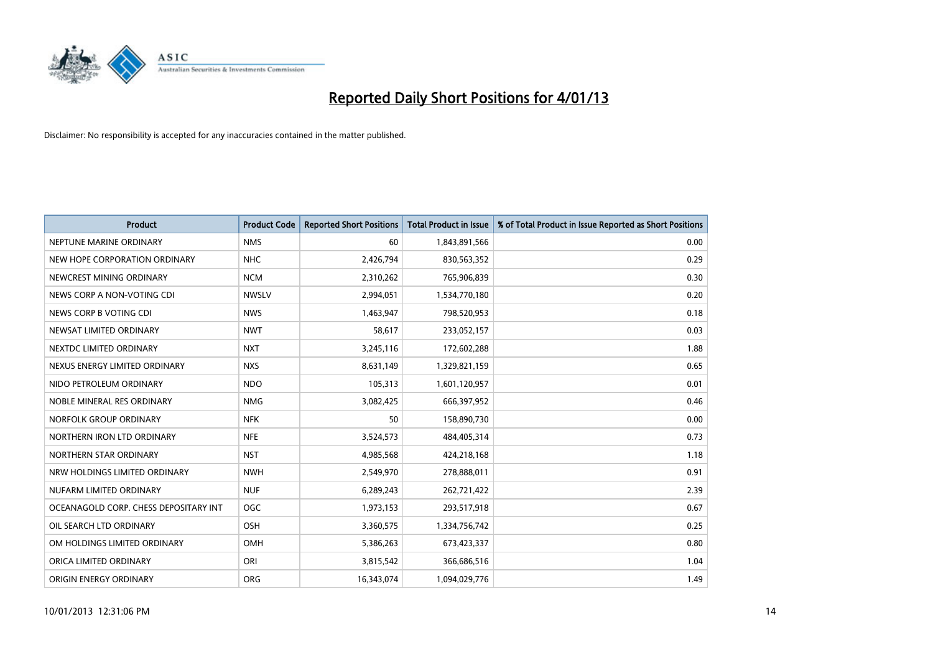

| <b>Product</b>                        | <b>Product Code</b> | <b>Reported Short Positions</b> | <b>Total Product in Issue</b> | % of Total Product in Issue Reported as Short Positions |
|---------------------------------------|---------------------|---------------------------------|-------------------------------|---------------------------------------------------------|
| NEPTUNE MARINE ORDINARY               | <b>NMS</b>          | 60                              | 1,843,891,566                 | 0.00                                                    |
| NEW HOPE CORPORATION ORDINARY         | <b>NHC</b>          | 2,426,794                       | 830,563,352                   | 0.29                                                    |
| NEWCREST MINING ORDINARY              | <b>NCM</b>          | 2,310,262                       | 765,906,839                   | 0.30                                                    |
| NEWS CORP A NON-VOTING CDI            | <b>NWSLV</b>        | 2,994,051                       | 1,534,770,180                 | 0.20                                                    |
| NEWS CORP B VOTING CDI                | <b>NWS</b>          | 1,463,947                       | 798,520,953                   | 0.18                                                    |
| NEWSAT LIMITED ORDINARY               | <b>NWT</b>          | 58,617                          | 233,052,157                   | 0.03                                                    |
| NEXTDC LIMITED ORDINARY               | <b>NXT</b>          | 3,245,116                       | 172,602,288                   | 1.88                                                    |
| NEXUS ENERGY LIMITED ORDINARY         | <b>NXS</b>          | 8,631,149                       | 1,329,821,159                 | 0.65                                                    |
| NIDO PETROLEUM ORDINARY               | <b>NDO</b>          | 105,313                         | 1,601,120,957                 | 0.01                                                    |
| NOBLE MINERAL RES ORDINARY            | <b>NMG</b>          | 3,082,425                       | 666,397,952                   | 0.46                                                    |
| NORFOLK GROUP ORDINARY                | <b>NFK</b>          | 50                              | 158,890,730                   | 0.00                                                    |
| NORTHERN IRON LTD ORDINARY            | <b>NFE</b>          | 3,524,573                       | 484,405,314                   | 0.73                                                    |
| NORTHERN STAR ORDINARY                | <b>NST</b>          | 4,985,568                       | 424,218,168                   | 1.18                                                    |
| NRW HOLDINGS LIMITED ORDINARY         | <b>NWH</b>          | 2,549,970                       | 278,888,011                   | 0.91                                                    |
| NUFARM LIMITED ORDINARY               | <b>NUF</b>          | 6,289,243                       | 262,721,422                   | 2.39                                                    |
| OCEANAGOLD CORP. CHESS DEPOSITARY INT | <b>OGC</b>          | 1,973,153                       | 293,517,918                   | 0.67                                                    |
| OIL SEARCH LTD ORDINARY               | OSH                 | 3,360,575                       | 1,334,756,742                 | 0.25                                                    |
| OM HOLDINGS LIMITED ORDINARY          | OMH                 | 5,386,263                       | 673,423,337                   | 0.80                                                    |
| ORICA LIMITED ORDINARY                | ORI                 | 3,815,542                       | 366,686,516                   | 1.04                                                    |
| ORIGIN ENERGY ORDINARY                | <b>ORG</b>          | 16,343,074                      | 1,094,029,776                 | 1.49                                                    |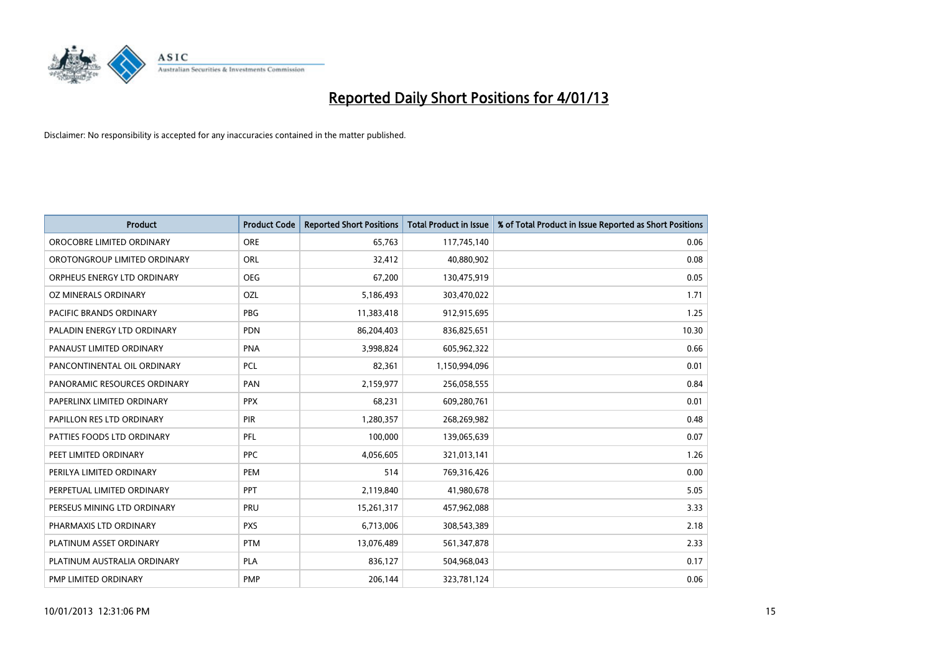

| <b>Product</b>               | <b>Product Code</b> | <b>Reported Short Positions</b> | <b>Total Product in Issue</b> | % of Total Product in Issue Reported as Short Positions |
|------------------------------|---------------------|---------------------------------|-------------------------------|---------------------------------------------------------|
| OROCOBRE LIMITED ORDINARY    | <b>ORE</b>          | 65,763                          | 117,745,140                   | 0.06                                                    |
| OROTONGROUP LIMITED ORDINARY | <b>ORL</b>          | 32,412                          | 40,880,902                    | 0.08                                                    |
| ORPHEUS ENERGY LTD ORDINARY  | <b>OEG</b>          | 67,200                          | 130,475,919                   | 0.05                                                    |
| OZ MINERALS ORDINARY         | OZL                 | 5,186,493                       | 303,470,022                   | 1.71                                                    |
| PACIFIC BRANDS ORDINARY      | <b>PBG</b>          | 11,383,418                      | 912,915,695                   | 1.25                                                    |
| PALADIN ENERGY LTD ORDINARY  | <b>PDN</b>          | 86,204,403                      | 836,825,651                   | 10.30                                                   |
| PANAUST LIMITED ORDINARY     | <b>PNA</b>          | 3,998,824                       | 605,962,322                   | 0.66                                                    |
| PANCONTINENTAL OIL ORDINARY  | PCL                 | 82,361                          | 1,150,994,096                 | 0.01                                                    |
| PANORAMIC RESOURCES ORDINARY | PAN                 | 2,159,977                       | 256,058,555                   | 0.84                                                    |
| PAPERLINX LIMITED ORDINARY   | <b>PPX</b>          | 68,231                          | 609,280,761                   | 0.01                                                    |
| PAPILLON RES LTD ORDINARY    | <b>PIR</b>          | 1,280,357                       | 268,269,982                   | 0.48                                                    |
| PATTIES FOODS LTD ORDINARY   | PFL                 | 100,000                         | 139,065,639                   | 0.07                                                    |
| PEET LIMITED ORDINARY        | <b>PPC</b>          | 4,056,605                       | 321,013,141                   | 1.26                                                    |
| PERILYA LIMITED ORDINARY     | PEM                 | 514                             | 769,316,426                   | 0.00                                                    |
| PERPETUAL LIMITED ORDINARY   | <b>PPT</b>          | 2,119,840                       | 41,980,678                    | 5.05                                                    |
| PERSEUS MINING LTD ORDINARY  | PRU                 | 15,261,317                      | 457,962,088                   | 3.33                                                    |
| PHARMAXIS LTD ORDINARY       | <b>PXS</b>          | 6,713,006                       | 308,543,389                   | 2.18                                                    |
| PLATINUM ASSET ORDINARY      | <b>PTM</b>          | 13,076,489                      | 561,347,878                   | 2.33                                                    |
| PLATINUM AUSTRALIA ORDINARY  | <b>PLA</b>          | 836,127                         | 504,968,043                   | 0.17                                                    |
| PMP LIMITED ORDINARY         | <b>PMP</b>          | 206,144                         | 323,781,124                   | 0.06                                                    |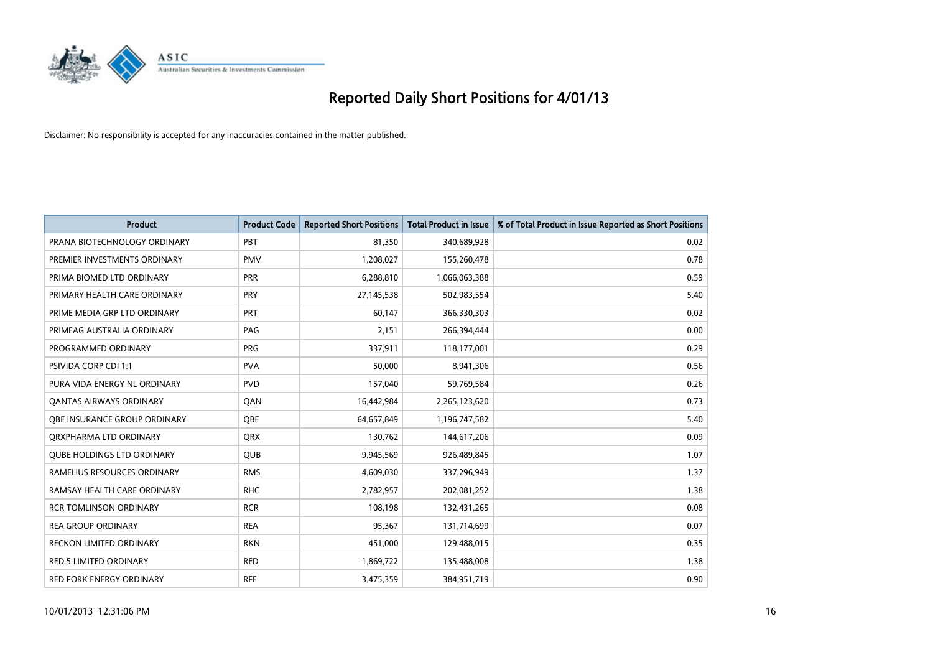

| <b>Product</b>                    | <b>Product Code</b> | <b>Reported Short Positions</b> | <b>Total Product in Issue</b> | % of Total Product in Issue Reported as Short Positions |
|-----------------------------------|---------------------|---------------------------------|-------------------------------|---------------------------------------------------------|
| PRANA BIOTECHNOLOGY ORDINARY      | PBT                 | 81,350                          | 340,689,928                   | 0.02                                                    |
| PREMIER INVESTMENTS ORDINARY      | <b>PMV</b>          | 1,208,027                       | 155,260,478                   | 0.78                                                    |
| PRIMA BIOMED LTD ORDINARY         | PRR                 | 6,288,810                       | 1,066,063,388                 | 0.59                                                    |
| PRIMARY HEALTH CARE ORDINARY      | <b>PRY</b>          | 27,145,538                      | 502,983,554                   | 5.40                                                    |
| PRIME MEDIA GRP LTD ORDINARY      | PRT                 | 60,147                          | 366,330,303                   | 0.02                                                    |
| PRIMEAG AUSTRALIA ORDINARY        | PAG                 | 2,151                           | 266,394,444                   | 0.00                                                    |
| PROGRAMMED ORDINARY               | <b>PRG</b>          | 337,911                         | 118,177,001                   | 0.29                                                    |
| PSIVIDA CORP CDI 1:1              | <b>PVA</b>          | 50,000                          | 8,941,306                     | 0.56                                                    |
| PURA VIDA ENERGY NL ORDINARY      | <b>PVD</b>          | 157,040                         | 59,769,584                    | 0.26                                                    |
| OANTAS AIRWAYS ORDINARY           | QAN                 | 16,442,984                      | 2,265,123,620                 | 0.73                                                    |
| QBE INSURANCE GROUP ORDINARY      | QBE                 | 64,657,849                      | 1,196,747,582                 | 5.40                                                    |
| ORXPHARMA LTD ORDINARY            | <b>ORX</b>          | 130,762                         | 144,617,206                   | 0.09                                                    |
| <b>QUBE HOLDINGS LTD ORDINARY</b> | <b>QUB</b>          | 9,945,569                       | 926,489,845                   | 1.07                                                    |
| RAMELIUS RESOURCES ORDINARY       | <b>RMS</b>          | 4,609,030                       | 337,296,949                   | 1.37                                                    |
| RAMSAY HEALTH CARE ORDINARY       | <b>RHC</b>          | 2,782,957                       | 202,081,252                   | 1.38                                                    |
| <b>RCR TOMLINSON ORDINARY</b>     | <b>RCR</b>          | 108,198                         | 132,431,265                   | 0.08                                                    |
| <b>REA GROUP ORDINARY</b>         | <b>REA</b>          | 95,367                          | 131,714,699                   | 0.07                                                    |
| RECKON LIMITED ORDINARY           | <b>RKN</b>          | 451,000                         | 129,488,015                   | 0.35                                                    |
| <b>RED 5 LIMITED ORDINARY</b>     | <b>RED</b>          | 1,869,722                       | 135,488,008                   | 1.38                                                    |
| <b>RED FORK ENERGY ORDINARY</b>   | <b>RFE</b>          | 3,475,359                       | 384,951,719                   | 0.90                                                    |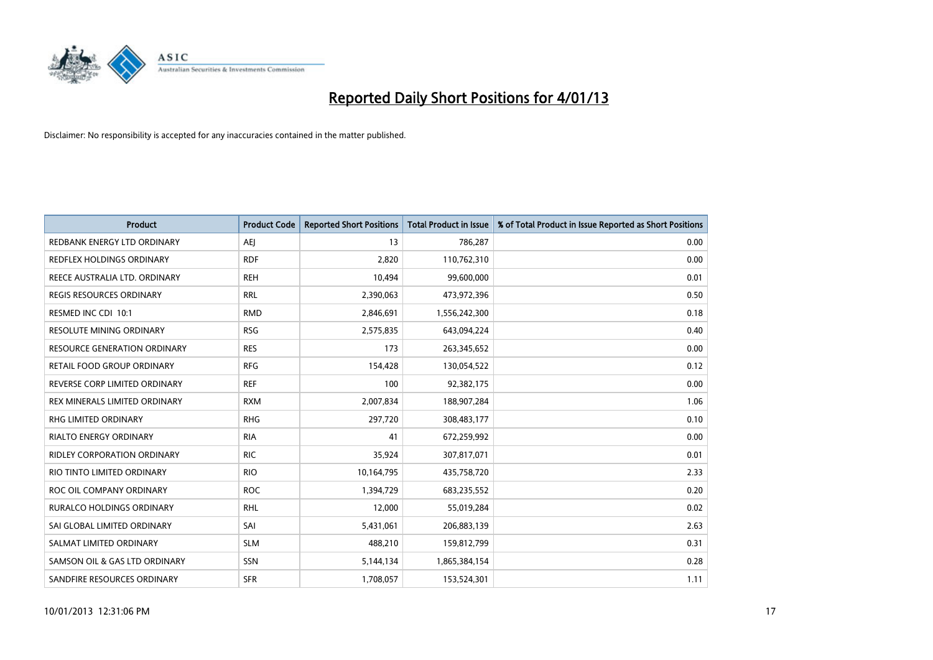

| <b>Product</b>                     | <b>Product Code</b> | <b>Reported Short Positions</b> | <b>Total Product in Issue</b> | % of Total Product in Issue Reported as Short Positions |
|------------------------------------|---------------------|---------------------------------|-------------------------------|---------------------------------------------------------|
| REDBANK ENERGY LTD ORDINARY        | AEI                 | 13                              | 786,287                       | 0.00                                                    |
| REDFLEX HOLDINGS ORDINARY          | <b>RDF</b>          | 2,820                           | 110,762,310                   | 0.00                                                    |
| REECE AUSTRALIA LTD. ORDINARY      | <b>REH</b>          | 10,494                          | 99,600,000                    | 0.01                                                    |
| REGIS RESOURCES ORDINARY           | <b>RRL</b>          | 2,390,063                       | 473,972,396                   | 0.50                                                    |
| RESMED INC CDI 10:1                | <b>RMD</b>          | 2,846,691                       | 1,556,242,300                 | 0.18                                                    |
| <b>RESOLUTE MINING ORDINARY</b>    | <b>RSG</b>          | 2,575,835                       | 643,094,224                   | 0.40                                                    |
| RESOURCE GENERATION ORDINARY       | <b>RES</b>          | 173                             | 263,345,652                   | 0.00                                                    |
| RETAIL FOOD GROUP ORDINARY         | <b>RFG</b>          | 154,428                         | 130,054,522                   | 0.12                                                    |
| REVERSE CORP LIMITED ORDINARY      | <b>REF</b>          | 100                             | 92,382,175                    | 0.00                                                    |
| REX MINERALS LIMITED ORDINARY      | <b>RXM</b>          | 2,007,834                       | 188,907,284                   | 1.06                                                    |
| <b>RHG LIMITED ORDINARY</b>        | <b>RHG</b>          | 297,720                         | 308,483,177                   | 0.10                                                    |
| RIALTO ENERGY ORDINARY             | <b>RIA</b>          | 41                              | 672,259,992                   | 0.00                                                    |
| <b>RIDLEY CORPORATION ORDINARY</b> | <b>RIC</b>          | 35,924                          | 307,817,071                   | 0.01                                                    |
| RIO TINTO LIMITED ORDINARY         | <b>RIO</b>          | 10,164,795                      | 435,758,720                   | 2.33                                                    |
| ROC OIL COMPANY ORDINARY           | <b>ROC</b>          | 1,394,729                       | 683,235,552                   | 0.20                                                    |
| RURALCO HOLDINGS ORDINARY          | <b>RHL</b>          | 12,000                          | 55,019,284                    | 0.02                                                    |
| SAI GLOBAL LIMITED ORDINARY        | SAI                 | 5,431,061                       | 206,883,139                   | 2.63                                                    |
| SALMAT LIMITED ORDINARY            | <b>SLM</b>          | 488,210                         | 159,812,799                   | 0.31                                                    |
| SAMSON OIL & GAS LTD ORDINARY      | SSN                 | 5,144,134                       | 1,865,384,154                 | 0.28                                                    |
| SANDFIRE RESOURCES ORDINARY        | <b>SFR</b>          | 1,708,057                       | 153,524,301                   | 1.11                                                    |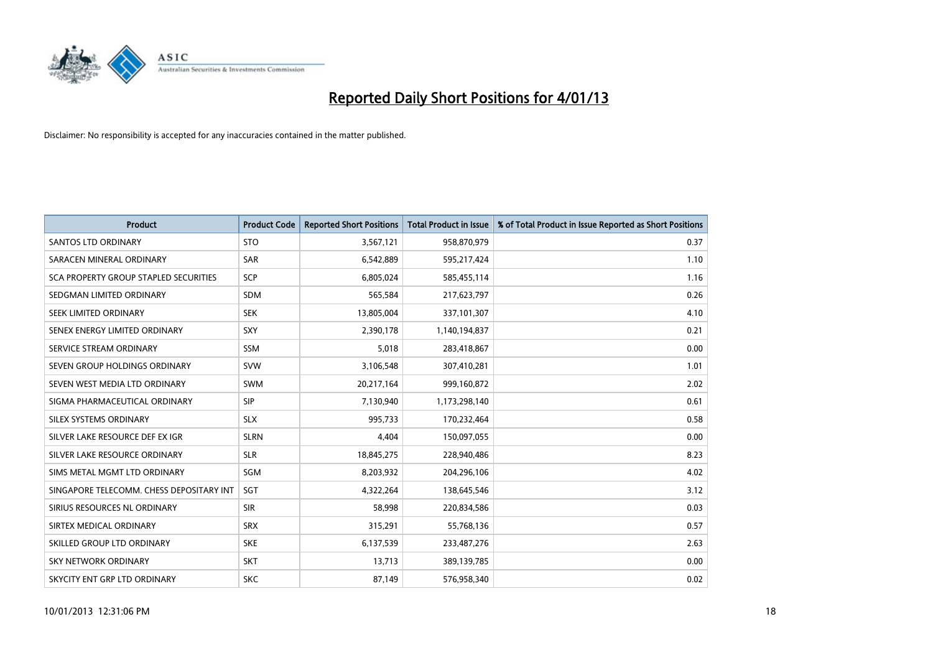

| <b>Product</b>                           | <b>Product Code</b> | <b>Reported Short Positions</b> | <b>Total Product in Issue</b> | % of Total Product in Issue Reported as Short Positions |
|------------------------------------------|---------------------|---------------------------------|-------------------------------|---------------------------------------------------------|
| <b>SANTOS LTD ORDINARY</b>               | <b>STO</b>          | 3,567,121                       | 958,870,979                   | 0.37                                                    |
| SARACEN MINERAL ORDINARY                 | SAR                 | 6,542,889                       | 595,217,424                   | 1.10                                                    |
| SCA PROPERTY GROUP STAPLED SECURITIES    | <b>SCP</b>          | 6,805,024                       | 585,455,114                   | 1.16                                                    |
| SEDGMAN LIMITED ORDINARY                 | <b>SDM</b>          | 565,584                         | 217,623,797                   | 0.26                                                    |
| SEEK LIMITED ORDINARY                    | <b>SEK</b>          | 13,805,004                      | 337,101,307                   | 4.10                                                    |
| SENEX ENERGY LIMITED ORDINARY            | SXY                 | 2,390,178                       | 1,140,194,837                 | 0.21                                                    |
| SERVICE STREAM ORDINARY                  | <b>SSM</b>          | 5,018                           | 283,418,867                   | 0.00                                                    |
| SEVEN GROUP HOLDINGS ORDINARY            | <b>SVW</b>          | 3,106,548                       | 307,410,281                   | 1.01                                                    |
| SEVEN WEST MEDIA LTD ORDINARY            | <b>SWM</b>          | 20,217,164                      | 999,160,872                   | 2.02                                                    |
| SIGMA PHARMACEUTICAL ORDINARY            | <b>SIP</b>          | 7,130,940                       | 1,173,298,140                 | 0.61                                                    |
| SILEX SYSTEMS ORDINARY                   | <b>SLX</b>          | 995,733                         | 170,232,464                   | 0.58                                                    |
| SILVER LAKE RESOURCE DEF EX IGR          | <b>SLRN</b>         | 4,404                           | 150,097,055                   | 0.00                                                    |
| SILVER LAKE RESOURCE ORDINARY            | <b>SLR</b>          | 18,845,275                      | 228,940,486                   | 8.23                                                    |
| SIMS METAL MGMT LTD ORDINARY             | SGM                 | 8,203,932                       | 204,296,106                   | 4.02                                                    |
| SINGAPORE TELECOMM. CHESS DEPOSITARY INT | SGT                 | 4,322,264                       | 138,645,546                   | 3.12                                                    |
| SIRIUS RESOURCES NL ORDINARY             | <b>SIR</b>          | 58,998                          | 220,834,586                   | 0.03                                                    |
| SIRTEX MEDICAL ORDINARY                  | <b>SRX</b>          | 315,291                         | 55,768,136                    | 0.57                                                    |
| SKILLED GROUP LTD ORDINARY               | <b>SKE</b>          | 6,137,539                       | 233,487,276                   | 2.63                                                    |
| <b>SKY NETWORK ORDINARY</b>              | <b>SKT</b>          | 13,713                          | 389,139,785                   | 0.00                                                    |
| SKYCITY ENT GRP LTD ORDINARY             | <b>SKC</b>          | 87,149                          | 576.958.340                   | 0.02                                                    |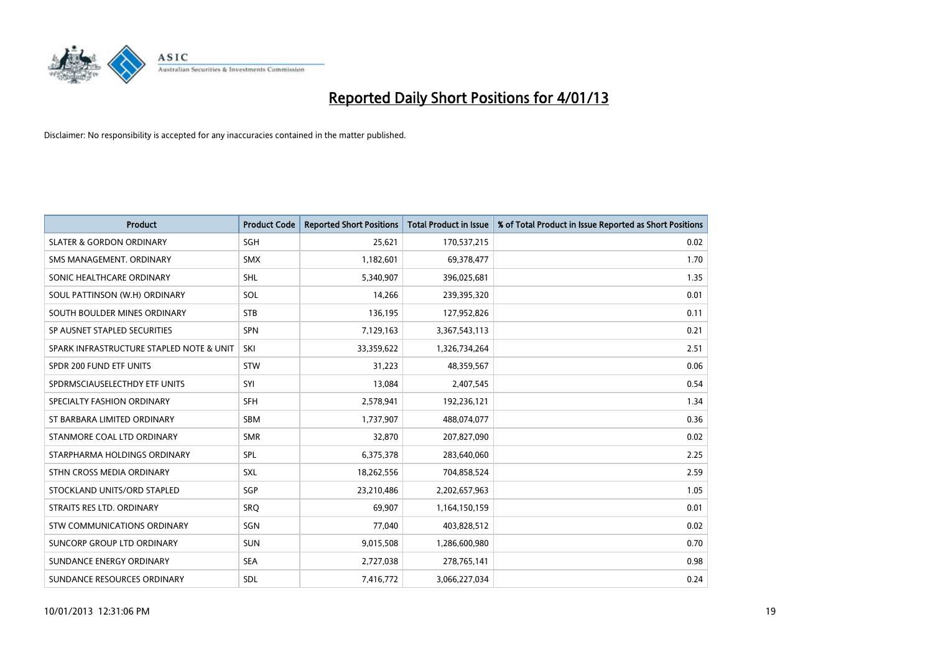

| <b>Product</b>                           | <b>Product Code</b> | <b>Reported Short Positions</b> | <b>Total Product in Issue</b> | % of Total Product in Issue Reported as Short Positions |
|------------------------------------------|---------------------|---------------------------------|-------------------------------|---------------------------------------------------------|
| <b>SLATER &amp; GORDON ORDINARY</b>      | <b>SGH</b>          | 25,621                          | 170,537,215                   | 0.02                                                    |
| SMS MANAGEMENT. ORDINARY                 | <b>SMX</b>          | 1,182,601                       | 69,378,477                    | 1.70                                                    |
| SONIC HEALTHCARE ORDINARY                | <b>SHL</b>          | 5,340,907                       | 396,025,681                   | 1.35                                                    |
| SOUL PATTINSON (W.H) ORDINARY            | SOL                 | 14,266                          | 239,395,320                   | 0.01                                                    |
| SOUTH BOULDER MINES ORDINARY             | <b>STB</b>          | 136,195                         | 127,952,826                   | 0.11                                                    |
| SP AUSNET STAPLED SECURITIES             | SPN                 | 7,129,163                       | 3,367,543,113                 | 0.21                                                    |
| SPARK INFRASTRUCTURE STAPLED NOTE & UNIT | SKI                 | 33,359,622                      | 1,326,734,264                 | 2.51                                                    |
| SPDR 200 FUND ETF UNITS                  | <b>STW</b>          | 31,223                          | 48,359,567                    | 0.06                                                    |
| SPDRMSCIAUSELECTHDY ETF UNITS            | SYI                 | 13,084                          | 2,407,545                     | 0.54                                                    |
| SPECIALTY FASHION ORDINARY               | <b>SFH</b>          | 2,578,941                       | 192,236,121                   | 1.34                                                    |
| ST BARBARA LIMITED ORDINARY              | <b>SBM</b>          | 1,737,907                       | 488,074,077                   | 0.36                                                    |
| STANMORE COAL LTD ORDINARY               | <b>SMR</b>          | 32,870                          | 207,827,090                   | 0.02                                                    |
| STARPHARMA HOLDINGS ORDINARY             | SPL                 | 6,375,378                       | 283,640,060                   | 2.25                                                    |
| STHN CROSS MEDIA ORDINARY                | SXL                 | 18,262,556                      | 704,858,524                   | 2.59                                                    |
| STOCKLAND UNITS/ORD STAPLED              | SGP                 | 23,210,486                      | 2,202,657,963                 | 1.05                                                    |
| STRAITS RES LTD. ORDINARY                | SRO                 | 69,907                          | 1,164,150,159                 | 0.01                                                    |
| STW COMMUNICATIONS ORDINARY              | SGN                 | 77,040                          | 403,828,512                   | 0.02                                                    |
| SUNCORP GROUP LTD ORDINARY               | <b>SUN</b>          | 9,015,508                       | 1,286,600,980                 | 0.70                                                    |
| SUNDANCE ENERGY ORDINARY                 | <b>SEA</b>          | 2,727,038                       | 278,765,141                   | 0.98                                                    |
| SUNDANCE RESOURCES ORDINARY              | <b>SDL</b>          | 7,416,772                       | 3,066,227,034                 | 0.24                                                    |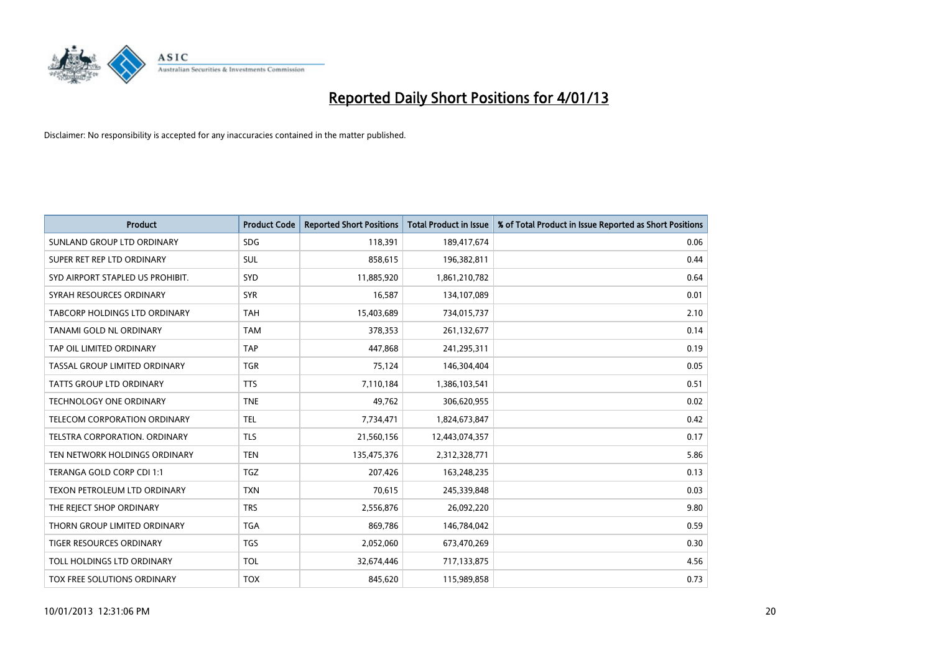

| <b>Product</b>                       | <b>Product Code</b> | <b>Reported Short Positions</b> | <b>Total Product in Issue</b> | % of Total Product in Issue Reported as Short Positions |
|--------------------------------------|---------------------|---------------------------------|-------------------------------|---------------------------------------------------------|
| SUNLAND GROUP LTD ORDINARY           | <b>SDG</b>          | 118,391                         | 189,417,674                   | 0.06                                                    |
| SUPER RET REP LTD ORDINARY           | <b>SUL</b>          | 858,615                         | 196,382,811                   | 0.44                                                    |
| SYD AIRPORT STAPLED US PROHIBIT.     | SYD                 | 11,885,920                      | 1,861,210,782                 | 0.64                                                    |
| SYRAH RESOURCES ORDINARY             | <b>SYR</b>          | 16,587                          | 134,107,089                   | 0.01                                                    |
| <b>TABCORP HOLDINGS LTD ORDINARY</b> | <b>TAH</b>          | 15,403,689                      | 734,015,737                   | 2.10                                                    |
| TANAMI GOLD NL ORDINARY              | <b>TAM</b>          | 378,353                         | 261,132,677                   | 0.14                                                    |
| TAP OIL LIMITED ORDINARY             | <b>TAP</b>          | 447.868                         | 241,295,311                   | 0.19                                                    |
| TASSAL GROUP LIMITED ORDINARY        | <b>TGR</b>          | 75,124                          | 146,304,404                   | 0.05                                                    |
| TATTS GROUP LTD ORDINARY             | <b>TTS</b>          | 7,110,184                       | 1,386,103,541                 | 0.51                                                    |
| <b>TECHNOLOGY ONE ORDINARY</b>       | <b>TNE</b>          | 49,762                          | 306,620,955                   | 0.02                                                    |
| <b>TELECOM CORPORATION ORDINARY</b>  | <b>TEL</b>          | 7,734,471                       | 1,824,673,847                 | 0.42                                                    |
| <b>TELSTRA CORPORATION, ORDINARY</b> | <b>TLS</b>          | 21,560,156                      | 12,443,074,357                | 0.17                                                    |
| TEN NETWORK HOLDINGS ORDINARY        | <b>TEN</b>          | 135,475,376                     | 2,312,328,771                 | 5.86                                                    |
| TERANGA GOLD CORP CDI 1:1            | <b>TGZ</b>          | 207.426                         | 163,248,235                   | 0.13                                                    |
| TEXON PETROLEUM LTD ORDINARY         | <b>TXN</b>          | 70,615                          | 245,339,848                   | 0.03                                                    |
| THE REJECT SHOP ORDINARY             | <b>TRS</b>          | 2,556,876                       | 26,092,220                    | 9.80                                                    |
| THORN GROUP LIMITED ORDINARY         | <b>TGA</b>          | 869,786                         | 146,784,042                   | 0.59                                                    |
| TIGER RESOURCES ORDINARY             | <b>TGS</b>          | 2,052,060                       | 673,470,269                   | 0.30                                                    |
| TOLL HOLDINGS LTD ORDINARY           | <b>TOL</b>          | 32,674,446                      | 717,133,875                   | 4.56                                                    |
| TOX FREE SOLUTIONS ORDINARY          | <b>TOX</b>          | 845.620                         | 115,989,858                   | 0.73                                                    |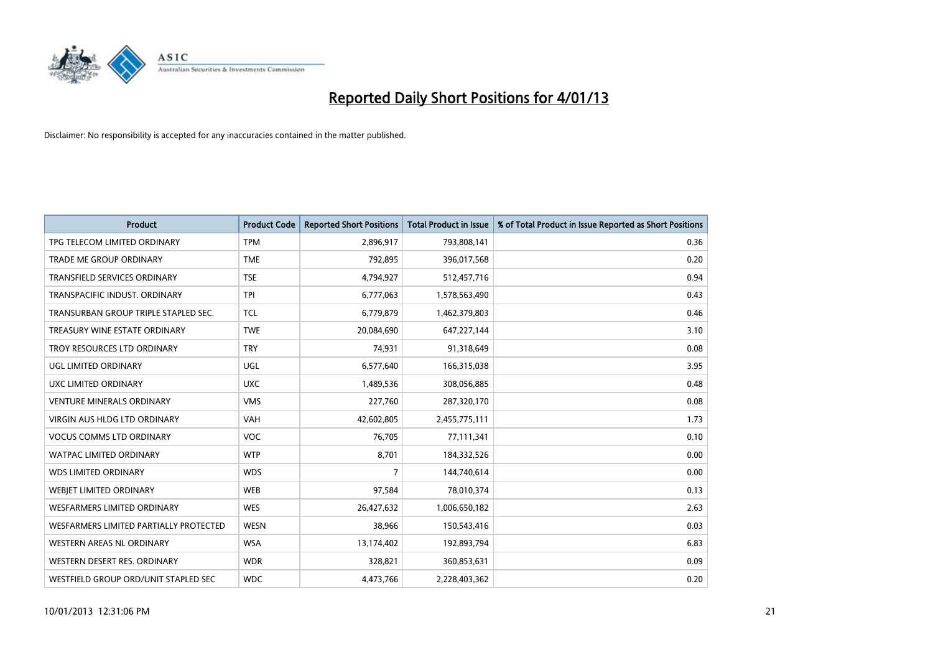

| <b>Product</b>                         | <b>Product Code</b> | <b>Reported Short Positions</b> | <b>Total Product in Issue</b> | % of Total Product in Issue Reported as Short Positions |
|----------------------------------------|---------------------|---------------------------------|-------------------------------|---------------------------------------------------------|
| TPG TELECOM LIMITED ORDINARY           | <b>TPM</b>          | 2,896,917                       | 793,808,141                   | 0.36                                                    |
| TRADE ME GROUP ORDINARY                | <b>TME</b>          | 792,895                         | 396,017,568                   | 0.20                                                    |
| TRANSFIELD SERVICES ORDINARY           | <b>TSE</b>          | 4,794,927                       | 512,457,716                   | 0.94                                                    |
| TRANSPACIFIC INDUST. ORDINARY          | <b>TPI</b>          | 6,777,063                       | 1,578,563,490                 | 0.43                                                    |
| TRANSURBAN GROUP TRIPLE STAPLED SEC.   | <b>TCL</b>          | 6,779,879                       | 1,462,379,803                 | 0.46                                                    |
| TREASURY WINE ESTATE ORDINARY          | <b>TWE</b>          | 20,084,690                      | 647,227,144                   | 3.10                                                    |
| TROY RESOURCES LTD ORDINARY            | <b>TRY</b>          | 74,931                          | 91,318,649                    | 0.08                                                    |
| UGL LIMITED ORDINARY                   | <b>UGL</b>          | 6,577,640                       | 166,315,038                   | 3.95                                                    |
| <b>UXC LIMITED ORDINARY</b>            | <b>UXC</b>          | 1,489,536                       | 308,056,885                   | 0.48                                                    |
| <b>VENTURE MINERALS ORDINARY</b>       | <b>VMS</b>          | 227,760                         | 287,320,170                   | 0.08                                                    |
| <b>VIRGIN AUS HLDG LTD ORDINARY</b>    | <b>VAH</b>          | 42,602,805                      | 2,455,775,111                 | 1.73                                                    |
| <b>VOCUS COMMS LTD ORDINARY</b>        | VOC                 | 76,705                          | 77,111,341                    | 0.10                                                    |
| <b>WATPAC LIMITED ORDINARY</b>         | <b>WTP</b>          | 8,701                           | 184,332,526                   | 0.00                                                    |
| <b>WDS LIMITED ORDINARY</b>            | <b>WDS</b>          | 7                               | 144,740,614                   | 0.00                                                    |
| WEBIET LIMITED ORDINARY                | <b>WEB</b>          | 97,584                          | 78,010,374                    | 0.13                                                    |
| <b>WESFARMERS LIMITED ORDINARY</b>     | <b>WES</b>          | 26,427,632                      | 1,006,650,182                 | 2.63                                                    |
| WESFARMERS LIMITED PARTIALLY PROTECTED | <b>WESN</b>         | 38,966                          | 150,543,416                   | 0.03                                                    |
| <b>WESTERN AREAS NL ORDINARY</b>       | <b>WSA</b>          | 13,174,402                      | 192,893,794                   | 6.83                                                    |
| WESTERN DESERT RES. ORDINARY           | <b>WDR</b>          | 328,821                         | 360,853,631                   | 0.09                                                    |
| WESTFIELD GROUP ORD/UNIT STAPLED SEC   | <b>WDC</b>          | 4,473,766                       | 2,228,403,362                 | 0.20                                                    |